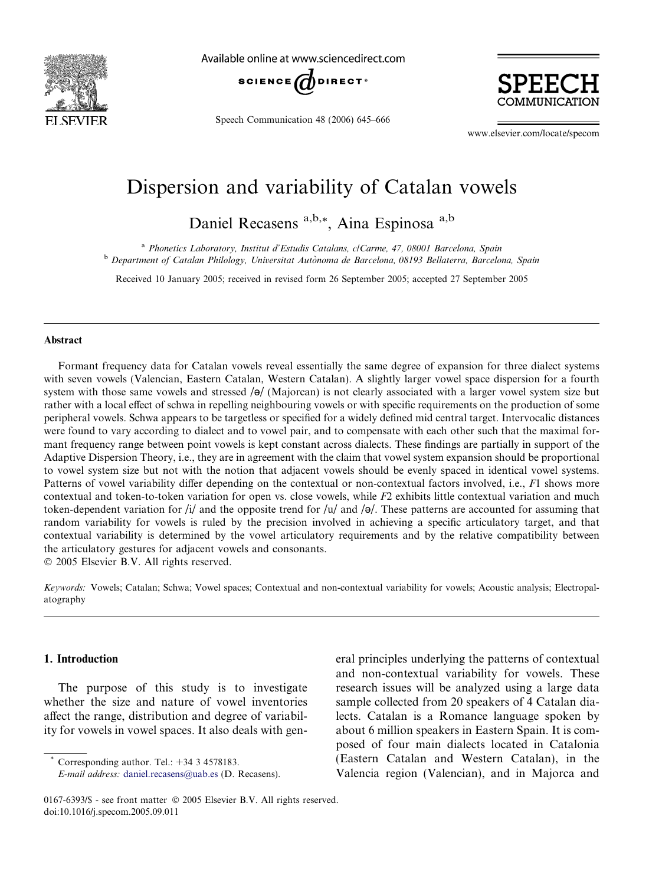<span id="page-0-0"></span>

Available online at www.sciencedirect.com



Speech Communication 48 (2006) 645–666



www.elsevier.com/locate/specom

# Dispersion and variability of Catalan vowels

Daniel Recasens a,b,\*, Aina Espinosa a,b

<sup>a</sup> Phonetics Laboratory, Institut d'Estudis Catalans, c/Carme, 47, 08001 Barcelona, Spain

<sup>b</sup> Department of Catalan Philology, Universitat Autònoma de Barcelona, 08193 Bellaterra, Barcelona, Spain

Received 10 January 2005; received in revised form 26 September 2005; accepted 27 September 2005

## Abstract

Formant frequency data for Catalan vowels reveal essentially the same degree of expansion for three dialect systems with seven vowels (Valencian, Eastern Catalan, Western Catalan). A slightly larger vowel space dispersion for a fourth system with those same vowels and stressed  $/\theta$  (Majorcan) is not clearly associated with a larger vowel system size but rather with a local effect of schwa in repelling neighbouring vowels or with specific requirements on the production of some peripheral vowels. Schwa appears to be targetless or specified for a widely defined mid central target. Intervocalic distances were found to vary according to dialect and to vowel pair, and to compensate with each other such that the maximal formant frequency range between point vowels is kept constant across dialects. These findings are partially in support of the Adaptive Dispersion Theory, i.e., they are in agreement with the claim that vowel system expansion should be proportional to vowel system size but not with the notion that adjacent vowels should be evenly spaced in identical vowel systems. Patterns of vowel variability differ depending on the contextual or non-contextual factors involved, i.e., F1 shows more contextual and token-to-token variation for open vs. close vowels, while F2 exhibits little contextual variation and much token-dependent variation for /i/ and the opposite trend for /u/ and / $\theta$ /. These patterns are accounted for assuming that random variability for vowels is ruled by the precision involved in achieving a specific articulatory target, and that contextual variability is determined by the vowel articulatory requirements and by the relative compatibility between the articulatory gestures for adjacent vowels and consonants.

© 2005 Elsevier B.V. All rights reserved.

Keywords: Vowels; Catalan; Schwa; Vowel spaces; Contextual and non-contextual variability for vowels; Acoustic analysis; Electropalatography

## 1. Introduction

The purpose of this study is to investigate whether the size and nature of vowel inventories affect the range, distribution and degree of variability for vowels in vowel spaces. It also deals with gen-

Corresponding author. Tel.:  $+34$  3 4578183.

eral principles underlying the patterns of contextual and non-contextual variability for vowels. These research issues will be analyzed using a large data sample collected from 20 speakers of 4 Catalan dialects. Catalan is a Romance language spoken by about 6 million speakers in Eastern Spain. It is composed of four main dialects located in Catalonia (Eastern Catalan and Western Catalan), in the Valencia region (Valencian), and in Majorca and

E-mail address: [daniel.recasens@uab.es](mailto:daniel.recasens@uab.es) (D. Recasens).

<sup>0167-6393/\$ -</sup> see front matter © 2005 Elsevier B.V. All rights reserved. doi:10.1016/j.specom.2005.09.011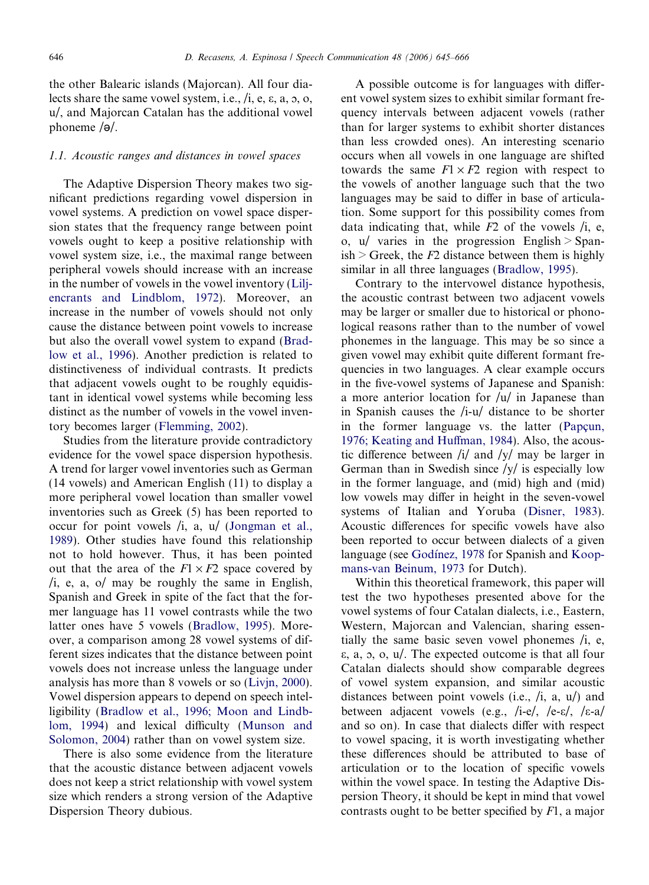the other Balearic islands (Majorcan). All four dialects share the same vowel system, i.e.,  $/i$ , e,  $\varepsilon$ ,  $a$ ,  $b$ ,  $c$ , u/, and Majorcan Catalan has the additional vowel phoneme  $\sqrt{\theta}$ .

## 1.1. Acoustic ranges and distances in vowel spaces

The Adaptive Dispersion Theory makes two significant predictions regarding vowel dispersion in vowel systems. A prediction on vowel space dispersion states that the frequency range between point vowels ought to keep a positive relationship with vowel system size, i.e., the maximal range between peripheral vowels should increase with an increase in the number of vowels in the vowel inventory [\(Lilj](#page-21-0)[encrants and Lindblom, 1972\)](#page-21-0). Moreover, an increase in the number of vowels should not only cause the distance between point vowels to increase but also the overall vowel system to expand [\(Brad](#page-20-0)[low et al., 1996\)](#page-20-0). Another prediction is related to distinctiveness of individual contrasts. It predicts that adjacent vowels ought to be roughly equidistant in identical vowel systems while becoming less distinct as the number of vowels in the vowel inventory becomes larger [\(Flemming, 2002](#page-20-0)).

Studies from the literature provide contradictory evidence for the vowel space dispersion hypothesis. A trend for larger vowel inventories such as German (14 vowels) and American English (11) to display a more peripheral vowel location than smaller vowel inventories such as Greek (5) has been reported to occur for point vowels /i, a, u/ ([Jongman et al.,](#page-21-0) [1989](#page-21-0)). Other studies have found this relationship not to hold however. Thus, it has been pointed out that the area of the  $F1 \times F2$  space covered by /i, e, a, o/ may be roughly the same in English, Spanish and Greek in spite of the fact that the former language has 11 vowel contrasts while the two latter ones have 5 vowels ([Bradlow, 1995](#page-20-0)). Moreover, a comparison among 28 vowel systems of different sizes indicates that the distance between point vowels does not increase unless the language under analysis has more than 8 vowels or so [\(Livjn, 2000](#page-21-0)). Vowel dispersion appears to depend on speech intelligibility ([Bradlow et al., 1996; Moon and Lindb](#page-20-0)[lom, 1994\)](#page-20-0) and lexical difficulty [\(Munson and](#page-21-0) [Solomon, 2004\)](#page-21-0) rather than on vowel system size.

There is also some evidence from the literature that the acoustic distance between adjacent vowels does not keep a strict relationship with vowel system size which renders a strong version of the Adaptive Dispersion Theory dubious.

A possible outcome is for languages with different vowel system sizes to exhibit similar formant frequency intervals between adjacent vowels (rather than for larger systems to exhibit shorter distances than less crowded ones). An interesting scenario occurs when all vowels in one language are shifted towards the same  $F1 \times F2$  region with respect to the vowels of another language such that the two languages may be said to differ in base of articulation. Some support for this possibility comes from data indicating that, while  $F2$  of the vowels  $/i$ , e, o,  $u/$  varies in the progression English > Span $ish > Greek$ , the F2 distance between them is highly similar in all three languages [\(Bradlow, 1995\)](#page-20-0).

Contrary to the intervowel distance hypothesis, the acoustic contrast between two adjacent vowels may be larger or smaller due to historical or phonological reasons rather than to the number of vowel phonemes in the language. This may be so since a given vowel may exhibit quite different formant frequencies in two languages. A clear example occurs in the five-vowel systems of Japanese and Spanish: a more anterior location for  $\frac{1}{u}$  in Japanese than in Spanish causes the /i-u/ distance to be shorter in the former language vs. the latter (Papcun, [1976; Keating and Huffman, 1984](#page-21-0)). Also, the acoustic difference between /i/ and /y/ may be larger in German than in Swedish since  $/y/$  is especially low in the former language, and (mid) high and (mid) low vowels may differ in height in the seven-vowel systems of Italian and Yoruba [\(Disner, 1983](#page-20-0)). Acoustic differences for specific vowels have also been reported to occur between dialects of a given language (see Godinez, 1978 for Spanish and [Koop](#page-21-0)[mans-van Beinum, 1973](#page-21-0) for Dutch).

Within this theoretical framework, this paper will test the two hypotheses presented above for the vowel systems of four Catalan dialects, i.e., Eastern, Western, Majorcan and Valencian, sharing essentially the same basic seven vowel phonemes /i, e,  $\varepsilon$ ,  $a$ ,  $b$ ,  $c$ ,  $u$ . The expected outcome is that all four Catalan dialects should show comparable degrees of vowel system expansion, and similar acoustic distances between point vowels (i.e., /i, a, u/) and between adjacent vowels (e.g., /i-e/, /e- $\varepsilon$ /, / $\varepsilon$ -a/ and so on). In case that dialects differ with respect to vowel spacing, it is worth investigating whether these differences should be attributed to base of articulation or to the location of specific vowels within the vowel space. In testing the Adaptive Dispersion Theory, it should be kept in mind that vowel contrasts ought to be better specified by  $F1$ , a major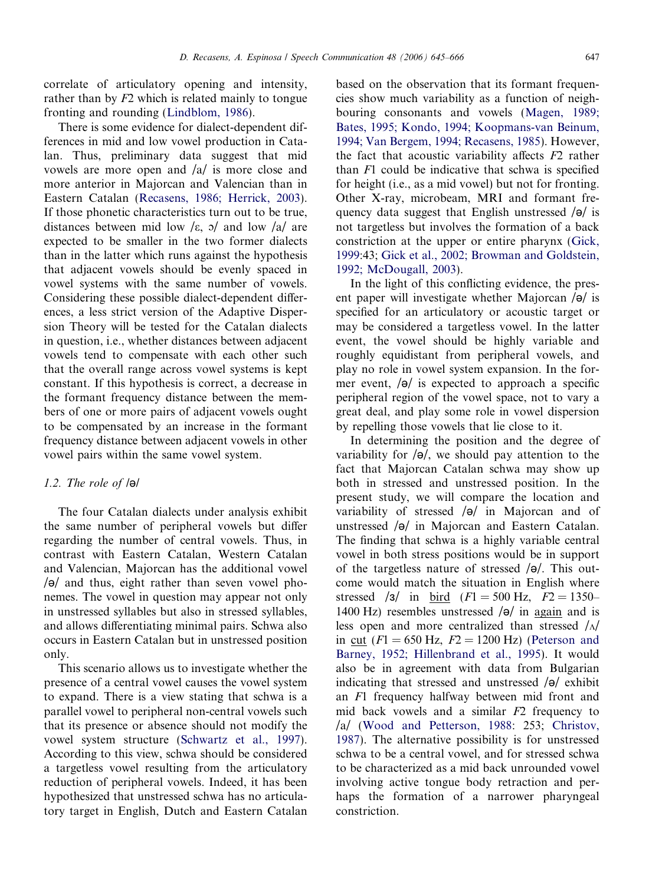<span id="page-2-0"></span>correlate of articulatory opening and intensity, rather than by F2 which is related mainly to tongue fronting and rounding ([Lindblom, 1986](#page-21-0)).

There is some evidence for dialect-dependent differences in mid and low vowel production in Catalan. Thus, preliminary data suggest that mid vowels are more open and /a/ is more close and more anterior in Majorcan and Valencian than in Eastern Catalan ([Recasens, 1986; Herrick, 2003\)](#page-21-0). If those phonetic characteristics turn out to be true, distances between mid low / $\varepsilon$ ,  $\frac{\partial}{\partial t}$  and low /a/ are expected to be smaller in the two former dialects than in the latter which runs against the hypothesis that adjacent vowels should be evenly spaced in vowel systems with the same number of vowels. Considering these possible dialect-dependent differences, a less strict version of the Adaptive Dispersion Theory will be tested for the Catalan dialects in question, i.e., whether distances between adjacent vowels tend to compensate with each other such that the overall range across vowel systems is kept constant. If this hypothesis is correct, a decrease in the formant frequency distance between the members of one or more pairs of adjacent vowels ought to be compensated by an increase in the formant frequency distance between adjacent vowels in other vowel pairs within the same vowel system.

# 1.2. The role of  $\Theta$

The four Catalan dialects under analysis exhibit the same number of peripheral vowels but differ regarding the number of central vowels. Thus, in contrast with Eastern Catalan, Western Catalan and Valencian, Majorcan has the additional vowel  $\sqrt{\theta}$  and thus, eight rather than seven vowel phonemes. The vowel in question may appear not only in unstressed syllables but also in stressed syllables, and allows differentiating minimal pairs. Schwa also occurs in Eastern Catalan but in unstressed position only.

This scenario allows us to investigate whether the presence of a central vowel causes the vowel system to expand. There is a view stating that schwa is a parallel vowel to peripheral non-central vowels such that its presence or absence should not modify the vowel system structure ([Schwartz et al., 1997\)](#page-21-0). According to this view, schwa should be considered a targetless vowel resulting from the articulatory reduction of peripheral vowels. Indeed, it has been hypothesized that unstressed schwa has no articulatory target in English, Dutch and Eastern Catalan

based on the observation that its formant frequencies show much variability as a function of neighbouring consonants and vowels ([Magen, 1989;](#page-21-0) [Bates, 1995; Kondo, 1994; Koopmans-van Beinum,](#page-21-0) [1994; Van Bergem, 1994; Recasens, 1985\)](#page-21-0). However, the fact that acoustic variability affects  $F2$  rather than  $F1$  could be indicative that schwa is specified for height (i.e., as a mid vowel) but not for fronting. Other X-ray, microbeam, MRI and formant frequency data suggest that English unstressed  $\sqrt{\theta}$  is not targetless but involves the formation of a back constriction at the upper or entire pharynx ([Gick,](#page-20-0) [1999:](#page-20-0)43; [Gick et al., 2002; Browman and Goldstein,](#page-20-0) [1992; McDougall, 2003\)](#page-20-0).

In the light of this conflicting evidence, the present paper will investigate whether Majorcan  $\sqrt{\theta}$  is specified for an articulatory or acoustic target or may be considered a targetless vowel. In the latter event, the vowel should be highly variable and roughly equidistant from peripheral vowels, and play no role in vowel system expansion. In the former event,  $\left| \Theta \right|$  is expected to approach a specific peripheral region of the vowel space, not to vary a great deal, and play some role in vowel dispersion by repelling those vowels that lie close to it.

In determining the position and the degree of variability for  $\sqrt{\theta}$ , we should pay attention to the fact that Majorcan Catalan schwa may show up both in stressed and unstressed position. In the present study, we will compare the location and variability of stressed  $\sqrt{\theta}$  in Majorcan and of unstressed  $\sqrt{\Theta}$  in Majorcan and Eastern Catalan. The finding that schwa is a highly variable central vowel in both stress positions would be in support of the targetless nature of stressed  $\theta$ . This outcome would match the situation in English where stressed /3/ in bird  $(F1 = 500 \text{ Hz}, F2 = 1350-$ 1400 Hz) resembles unstressed  $\sqrt{\theta}$  in again and is less open and more centralized than stressed  $/\Delta$ in cut ( $F1 = 650$  Hz,  $F2 = 1200$  Hz) ([Peterson and](#page-21-0) [Barney, 1952; Hillenbrand et al., 1995\)](#page-21-0). It would also be in agreement with data from Bulgarian indicating that stressed and unstressed  $\sqrt{\theta}$  exhibit an F1 frequency halfway between mid front and mid back vowels and a similar F2 frequency to /a/ [\(Wood and Petterson, 1988:](#page-21-0) 253; [Christov,](#page-20-0) [1987\)](#page-20-0). The alternative possibility is for unstressed schwa to be a central vowel, and for stressed schwa to be characterized as a mid back unrounded vowel involving active tongue body retraction and perhaps the formation of a narrower pharyngeal constriction.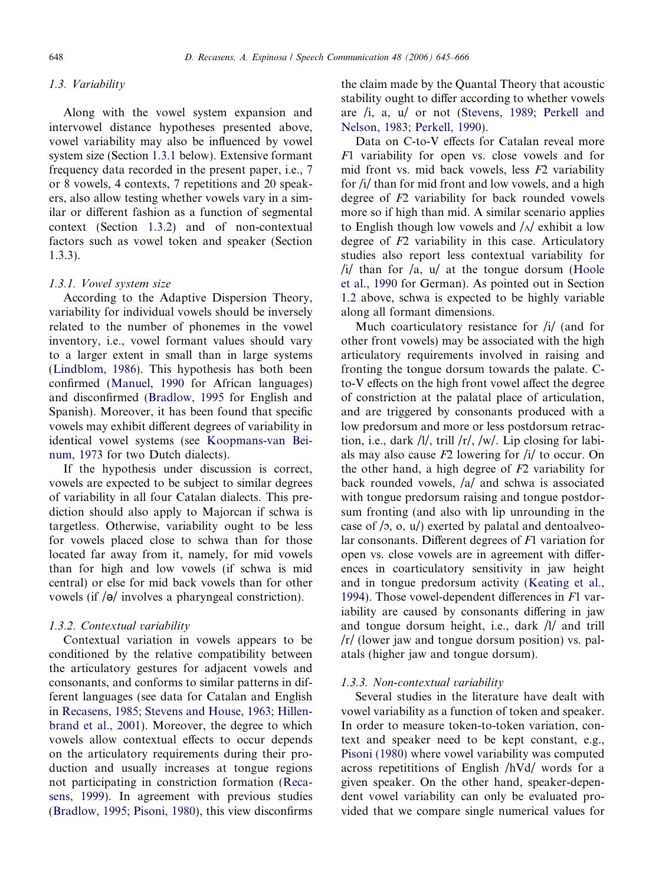## 1.3. Variability

Along with the vowel system expansion and intervowel distance hypotheses presented above, vowel variability may also be influenced by vowel system size (Section 1.3.1 below). Extensive formant frequency data recorded in the present paper, i.e., 7 or 8 vowels, 4 contexts, 7 repetitions and 20 speakers, also allow testing whether vowels vary in a similar or different fashion as a function of segmental context (Section 1.3.2) and of non-contextual factors such as vowel token and speaker (Section 1.3.3).

## 1.3.1. Vowel system size

According to the Adaptive Dispersion Theory, variability for individual vowels should be inversely related to the number of phonemes in the vowel inventory, i.e., vowel formant values should vary to a larger extent in small than in large systems ([Lindblom, 1986](#page-21-0)). This hypothesis has both been confirmed [\(Manuel, 1990](#page-21-0) for African languages) and disconfirmed [\(Bradlow, 1995](#page-20-0) for English and Spanish). Moreover, it has been found that specific vowels may exhibit different degrees of variability in identical vowel systems (see [Koopmans-van Bei](#page-21-0)[num, 1973](#page-21-0) for two Dutch dialects).

If the hypothesis under discussion is correct, vowels are expected to be subject to similar degrees of variability in all four Catalan dialects. This prediction should also apply to Majorcan if schwa is targetless. Otherwise, variability ought to be less for vowels placed close to schwa than for those located far away from it, namely, for mid vowels than for high and low vowels (if schwa is mid central) or else for mid back vowels than for other vowels (if  $\sqrt{\theta}$  involves a pharyngeal constriction).

## 1.3.2. Contextual variability

Contextual variation in vowels appears to be conditioned by the relative compatibility between the articulatory gestures for adjacent vowels and consonants, and conforms to similar patterns in different languages (see data for Catalan and English in [Recasens, 1985; Stevens and House, 1963; Hillen](#page-21-0)[brand et al., 2001](#page-21-0)). Moreover, the degree to which vowels allow contextual effects to occur depends on the articulatory requirements during their production and usually increases at tongue regions not participating in constriction formation ([Reca](#page-21-0)[sens, 1999\)](#page-21-0). In agreement with previous studies ([Bradlow, 1995; Pisoni, 1980](#page-20-0)), this view disconfirms

the claim made by the Quantal Theory that acoustic stability ought to differ according to whether vowels are /i, a, u/ or not [\(Stevens, 1989; Perkell and](#page-21-0) [Nelson, 1983; Perkell, 1990\)](#page-21-0).

Data on C-to-V effects for Catalan reveal more F1 variability for open vs. close vowels and for mid front vs. mid back vowels, less F2 variability for /i/ than for mid front and low vowels, and a high degree of F2 variability for back rounded vowels more so if high than mid. A similar scenario applies to English though low vowels and  $\Lambda$  exhibit a low degree of F2 variability in this case. Articulatory studies also report less contextual variability for / $i$ / than for /a,  $u$ / at the tongue dorsum [\(Hoole](#page-21-0) [et al., 1990](#page-21-0) for German). As pointed out in Section [1.2](#page-2-0) above, schwa is expected to be highly variable along all formant dimensions.

Much coarticulatory resistance for /i/ (and for other front vowels) may be associated with the high articulatory requirements involved in raising and fronting the tongue dorsum towards the palate. Cto-V effects on the high front vowel affect the degree of constriction at the palatal place of articulation, and are triggered by consonants produced with a low predorsum and more or less postdorsum retraction, i.e., dark  $\frac{1}{\sqrt{2}}$ , trill  $\frac{r}{\sqrt{2}}$ ,  $\frac{w}{\sqrt{2}}$ . Lip closing for labials may also cause  $F2$  lowering for  $\frac{1}{l}$  to occur. On the other hand, a high degree of  $F2$  variability for back rounded vowels, /a/ and schwa is associated with tongue predorsum raising and tongue postdorsum fronting (and also with lip unrounding in the case of  $/$ , o, u $/$ ) exerted by palatal and dentoalveolar consonants. Different degrees of F1 variation for open vs. close vowels are in agreement with differences in coarticulatory sensitivity in jaw height and in tongue predorsum activity [\(Keating et al.,](#page-21-0) [1994](#page-21-0)). Those vowel-dependent differences in F1 variability are caused by consonants differing in jaw and tongue dorsum height, i.e., dark /l/ and trill /r/ (lower jaw and tongue dorsum position) vs. palatals (higher jaw and tongue dorsum).

## 1.3.3. Non-contextual variability

Several studies in the literature have dealt with vowel variability as a function of token and speaker. In order to measure token-to-token variation, context and speaker need to be kept constant, e.g., [Pisoni \(1980\)](#page-21-0) where vowel variability was computed across repetititions of English /hVd/ words for a given speaker. On the other hand, speaker-dependent vowel variability can only be evaluated provided that we compare single numerical values for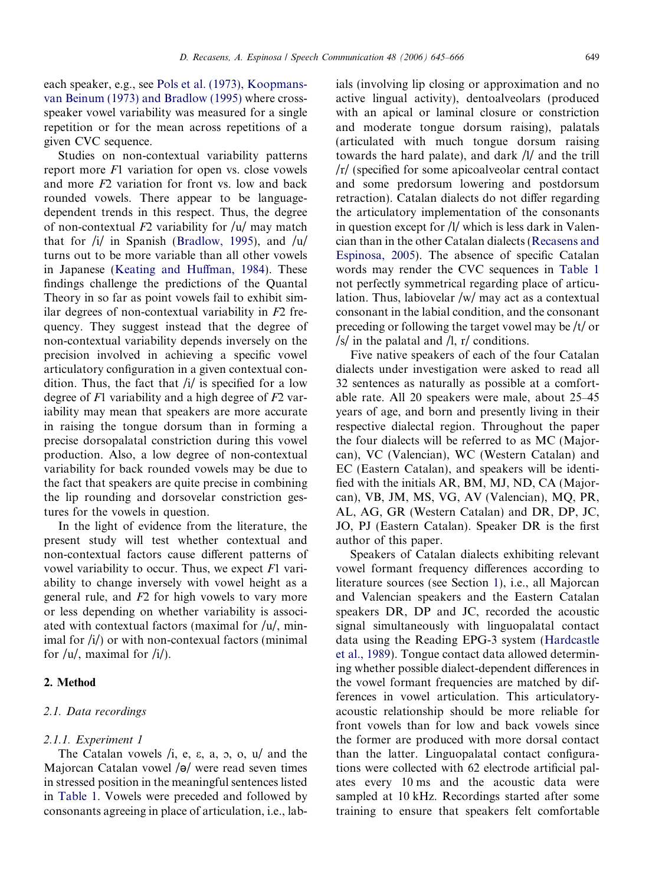Studies on non-contextual variability patterns report more F1 variation for open vs. close vowels and more F2 variation for front vs. low and back rounded vowels. There appear to be languagedependent trends in this respect. Thus, the degree of non-contextual  $F2$  variability for  $|u|$  may match that for /i/ in Spanish [\(Bradlow, 1995\)](#page-20-0), and /u/ turns out to be more variable than all other vowels in Japanese [\(Keating and Huffman, 1984](#page-21-0)). These findings challenge the predictions of the Quantal Theory in so far as point vowels fail to exhibit similar degrees of non-contextual variability in F2 frequency. They suggest instead that the degree of non-contextual variability depends inversely on the precision involved in achieving a specific vowel articulatory configuration in a given contextual condition. Thus, the fact that  $\frac{1}{i}$  is specified for a low degree of F1 variability and a high degree of F2 variability may mean that speakers are more accurate in raising the tongue dorsum than in forming a precise dorsopalatal constriction during this vowel production. Also, a low degree of non-contextual variability for back rounded vowels may be due to the fact that speakers are quite precise in combining the lip rounding and dorsovelar constriction gestures for the vowels in question.

In the light of evidence from the literature, the present study will test whether contextual and non-contextual factors cause different patterns of vowel variability to occur. Thus, we expect F1 variability to change inversely with vowel height as a general rule, and F2 for high vowels to vary more or less depending on whether variability is associated with contextual factors (maximal for  $/u/$ , minimal for  $\langle i \rangle$  or with non-contexual factors (minimal for  $/u/$ , maximal for  $/i/$ ).

# 2. Method

# 2.1. Data recordings

# 2.1.1. Experiment 1

The Catalan vowels  $\ell$ , e, e, a, o, o, u $\ell$  and the Majorcan Catalan vowel  $\sqrt{\theta}$  were read seven times in stressed position in the meaningful sentences listed in [Table 1.](#page-5-0) Vowels were preceded and followed by consonants agreeing in place of articulation, i.e., lab-

ials (involving lip closing or approximation and no active lingual activity), dentoalveolars (produced with an apical or laminal closure or constriction and moderate tongue dorsum raising), palatals (articulated with much tongue dorsum raising towards the hard palate), and dark /l/ and the trill /r/ (specified for some apicoalveolar central contact and some predorsum lowering and postdorsum retraction). Catalan dialects do not differ regarding the articulatory implementation of the consonants in question except for /l/ which is less dark in Valencian than in the other Catalan dialects [\(Recasens and](#page-21-0) [Espinosa, 2005](#page-21-0)). The absence of specific Catalan words may render the CVC sequences in [Table 1](#page-5-0) not perfectly symmetrical regarding place of articulation. Thus, labiovelar /w/ may act as a contextual consonant in the labial condition, and the consonant preceding or following the target vowel may be /t/ or  $\frac{s}{\sin \theta}$  in the palatal and  $\frac{l}{r}$ , r/ conditions.

Five native speakers of each of the four Catalan dialects under investigation were asked to read all 32 sentences as naturally as possible at a comfortable rate. All 20 speakers were male, about 25–45 years of age, and born and presently living in their respective dialectal region. Throughout the paper the four dialects will be referred to as MC (Majorcan), VC (Valencian), WC (Western Catalan) and EC (Eastern Catalan), and speakers will be identified with the initials AR, BM, MJ, ND, CA (Majorcan), VB, JM, MS, VG, AV (Valencian), MQ, PR, AL, AG, GR (Western Catalan) and DR, DP, JC, JO, PJ (Eastern Catalan). Speaker DR is the first author of this paper.

Speakers of Catalan dialects exhibiting relevant vowel formant frequency differences according to literature sources (see Section [1\)](#page-0-0), i.e., all Majorcan and Valencian speakers and the Eastern Catalan speakers DR, DP and JC, recorded the acoustic signal simultaneously with linguopalatal contact data using the Reading EPG-3 system ([Hardcastle](#page-21-0) [et al., 1989\)](#page-21-0). Tongue contact data allowed determining whether possible dialect-dependent differences in the vowel formant frequencies are matched by differences in vowel articulation. This articulatoryacoustic relationship should be more reliable for front vowels than for low and back vowels since the former are produced with more dorsal contact than the latter. Linguopalatal contact configurations were collected with 62 electrode artificial palates every 10 ms and the acoustic data were sampled at 10 kHz. Recordings started after some training to ensure that speakers felt comfortable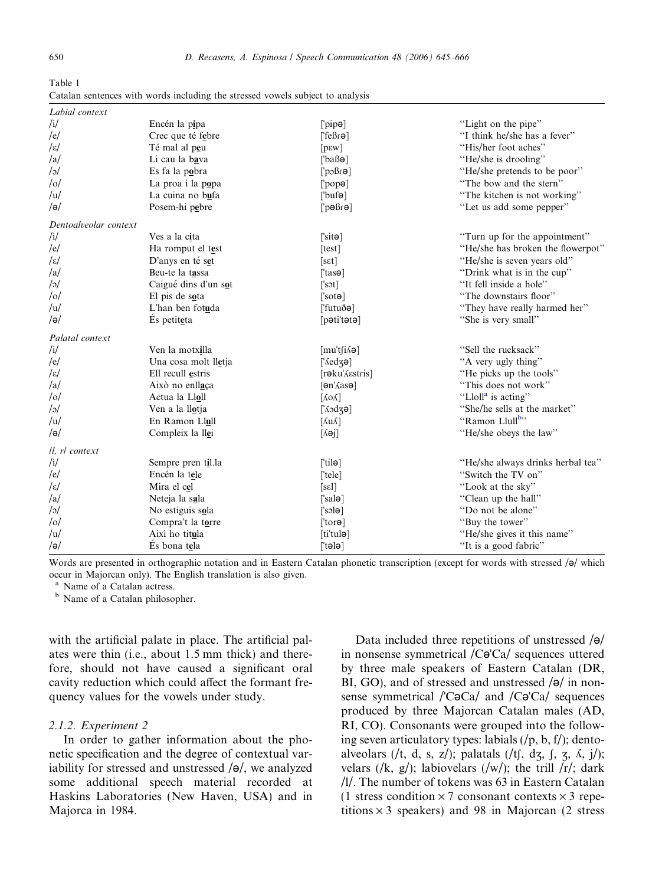<span id="page-5-0"></span>

| Table 1                                                                        |  |
|--------------------------------------------------------------------------------|--|
| Catalan sentences with words including the stressed vowels subject to analysis |  |

| Labial context        |                      |                                       |                                   |
|-----------------------|----------------------|---------------------------------------|-----------------------------------|
| /i/                   | Encén la pipa        | $[\n  \text{pipe}]$                   | "Light on the pipe"               |
| /e/                   | Crec que té febre    | $[$ feßr $\Theta$ ]                   | "I think he/she has a fever"      |
| $\sqrt{\varepsilon}/$ | Té mal al peu        | $[p \epsilon w]$                      | "His/her foot aches"              |
| /a/                   | Li cau la bava       | $[$ baß $\Theta$ ]                    | "He/she is drooling"              |
| o                     | Es fa la pobra       | [6n8c]                                | "He/she pretends to be poor"      |
| $/$ o $/$             | La proa i la popa    | $[$ pop $\theta$ ]                    | "The bow and the stern"           |
| /u/                   | La cuina no bufa     | [blef]                                | "The kitchen is not working"      |
| $/\theta$             | Posem-hi pebre       | $[$ pəßrə]                            | "Let us add some pepper"          |
| Dentoalveolar context |                      |                                       |                                   |
| /i/                   | Ves a la cita        | $\lceil \mathsf{site} \rceil$         | "Turn up for the appointment"     |
| /e/                   | Ha romput el test    | [test]                                | "He/she has broken the flowerpot" |
| $ \varepsilon $       | D'anys en té set     | [set]                                 | "He/she is seven years old"       |
| /a/                   | Beu-te la tassa      | $\lceil$ tasə $\rceil$                | "Drink what is in the cup"        |
| o                     | Caigué dins d'un sot | $\lceil \text{sort} \rceil$           | "It fell inside a hole"           |
| $/$ o $/$             | El pis de sota       | $\lceil \text{sot} \Theta \rceil$     | "The downstairs floor"            |
| /u/                   | L'han ben fotuda     | ['futuðə]                             | "They have really harmed her"     |
| $/\theta$             | És petiteta          | [pəti'tətə]                           | "She is very small"               |
| Palatal context       |                      |                                       |                                   |
| /i/                   | Ven la motxilla      | $[mu't[i\land a]$                     | "Sell the rucksack"               |
| /e/                   | Una cosa molt lletja | $\lceil \text{Aedz0} \rceil$          | "A very ugly thing"               |
| $ \varepsilon $       | Ell recull estris    | [rəku <i>K</i> estris]                | "He picks up the tools"           |
| /a/                   | Això no enllaça      | [ <i>an'A</i> as <i>ə</i> ]           | "This does not work"              |
| $/$ o $/$             | Actua la Lloll       | $\lceil \text{AoA} \rceil$            | "Lloll <sup>a</sup> is acting"    |
| o                     | Ven a la llotja      | $['\delta \text{od} \text{Z} \Theta]$ | "She/he sells at the market"      |
| /u/                   | En Ramon Llull       | $\lceil \text{AuA} \rceil$            | "Ramon Llull <sup>b</sup> "       |
| $/$ ə $/$             | Compleix la llei     | $\lceil \Delta$ əj                    | "He/she obeys the law"            |
| Il, rl context        |                      |                                       |                                   |
| /i/                   | Sempre pren til.la   | $[$ tilə $]$                          | "He/she always drinks herbal tea" |
| /e/                   | Encén la tele        | $[$ 'tele]                            | "Switch the TV on"                |
| $ \varepsilon $       | Mira el cel          | [sel]                                 | "Look at the sky"                 |
| /a/                   | Neteja la sala       | $[$ 'sal $\Theta$ ]                   | "Clean up the hall"               |
| o                     | No estiguis sola     | $\lceil \text{sole} \rceil$           | "Do not be alone"                 |
| $/$ o $/$             | Compra't la torre    | $[tor\Theta]$                         | "Buy the tower"                   |
| /u/                   | Així ho titula       | [ti'tulə]                             | "He/she gives it this name"       |
| $/\theta$             | És bona tela         | $[$ tələ $]$                          | "It is a good fabric"             |

Words are presented in orthographic notation and in Eastern Catalan phonetic transcription (except for words with stressed / $\theta$ / which occur in Majorcan only). The English translation is also given.

<sup>a</sup> Name of a Catalan actress.

<sup>b</sup> Name of a Catalan philosopher.

with the artificial palate in place. The artificial palates were thin (i.e., about 1.5 mm thick) and therefore, should not have caused a significant oral cavity reduction which could affect the formant frequency values for the vowels under study.

## 2.1.2. Experiment 2

In order to gather information about the phonetic specification and the degree of contextual variability for stressed and unstressed  $\sqrt{\theta}$ , we analyzed some additional speech material recorded at Haskins Laboratories (New Haven, USA) and in Majorca in 1984.

Data included three repetitions of unstressed  $\sqrt{\theta}$ in nonsense symmetrical  $/C\Theta'Ca/$  sequences uttered by three male speakers of Eastern Catalan (DR, BI, GO), and of stressed and unstressed  $\sqrt{\theta}$  in nonsense symmetrical  $/$ C $\neg$ Ca $/$  and  $/$ C $\neg$ Ca $/$  sequences produced by three Majorcan Catalan males (AD, RI, CO). Consonants were grouped into the following seven articulatory types: labials  $(\frac{p}{p}, b, f)$ ; dentoalveolars (/t, d, s, z/); palatals (/tʃ, dʒ, ʃ, ʒ, ʎ, j/); velars  $(\mathbf{k}, \mathbf{g})$ ; labiovelars  $(\mathbf{w})$ ; the trill  $\mathbf{r}/$ ; dark /l/. The number of tokens was 63 in Eastern Catalan (1 stress condition  $\times$  7 consonant contexts  $\times$  3 repetitions  $\times$  3 speakers) and 98 in Majorcan (2 stress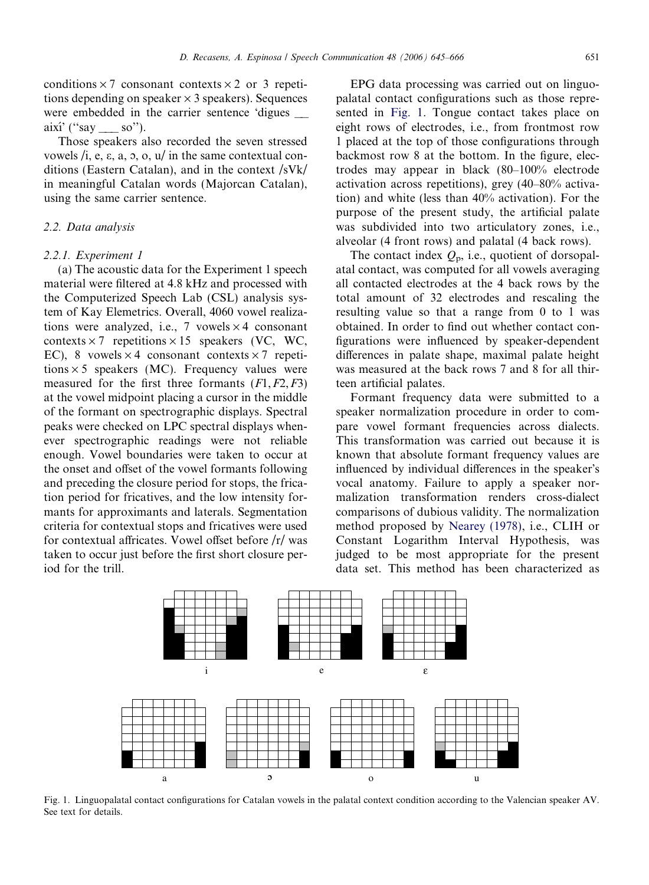<span id="page-6-0"></span>conditions  $\times$  7 consonant contexts  $\times$  2 or 3 repetitions depending on speaker  $\times$  3 speakers). Sequences were embedded in the carrier sentence 'digues així' (''say \_\_\_ so'').

Those speakers also recorded the seven stressed vowels /i, e,  $\varepsilon$ , a,  $\sigma$ ,  $\sigma$ ,  $\mu$  in the same contextual conditions (Eastern Catalan), and in the context /sVk/ in meaningful Catalan words (Majorcan Catalan), using the same carrier sentence.

## 2.2. Data analysis

# 2.2.1. Experiment 1

(a) The acoustic data for the Experiment 1 speech material were filtered at 4.8 kHz and processed with the Computerized Speech Lab (CSL) analysis system of Kay Elemetrics. Overall, 4060 vowel realizations were analyzed, i.e., 7 vowels  $\times$  4 consonant contexts  $\times$  7 repetitions  $\times$  15 speakers (VC, WC, EC), 8 vowels  $\times$  4 consonant contexts  $\times$  7 repetitions  $\times$  5 speakers (MC). Frequency values were measured for the first three formants  $(F1, F2, F3)$ at the vowel midpoint placing a cursor in the middle of the formant on spectrographic displays. Spectral peaks were checked on LPC spectral displays whenever spectrographic readings were not reliable enough. Vowel boundaries were taken to occur at the onset and offset of the vowel formants following and preceding the closure period for stops, the frication period for fricatives, and the low intensity formants for approximants and laterals. Segmentation criteria for contextual stops and fricatives were used for contextual affricates. Vowel offset before /r/ was taken to occur just before the first short closure period for the trill.

EPG data processing was carried out on linguopalatal contact configurations such as those represented in Fig. 1. Tongue contact takes place on eight rows of electrodes, i.e., from frontmost row 1 placed at the top of those configurations through backmost row 8 at the bottom. In the figure, electrodes may appear in black (80–100% electrode activation across repetitions), grey (40–80% activation) and white (less than 40% activation). For the purpose of the present study, the artificial palate was subdivided into two articulatory zones, i.e., alveolar (4 front rows) and palatal (4 back rows).

The contact index  $Q_p$ , i.e., quotient of dorsopalatal contact, was computed for all vowels averaging all contacted electrodes at the 4 back rows by the total amount of 32 electrodes and rescaling the resulting value so that a range from 0 to 1 was obtained. In order to find out whether contact configurations were influenced by speaker-dependent differences in palate shape, maximal palate height was measured at the back rows 7 and 8 for all thirteen artificial palates.

Formant frequency data were submitted to a speaker normalization procedure in order to compare vowel formant frequencies across dialects. This transformation was carried out because it is known that absolute formant frequency values are influenced by individual differences in the speaker's vocal anatomy. Failure to apply a speaker normalization transformation renders cross-dialect comparisons of dubious validity. The normalization method proposed by [Nearey \(1978\),](#page-21-0) i.e., CLIH or Constant Logarithm Interval Hypothesis, was judged to be most appropriate for the present data set. This method has been characterized as



Fig. 1. Linguopalatal contact configurations for Catalan vowels in the palatal context condition according to the Valencian speaker AV. See text for details.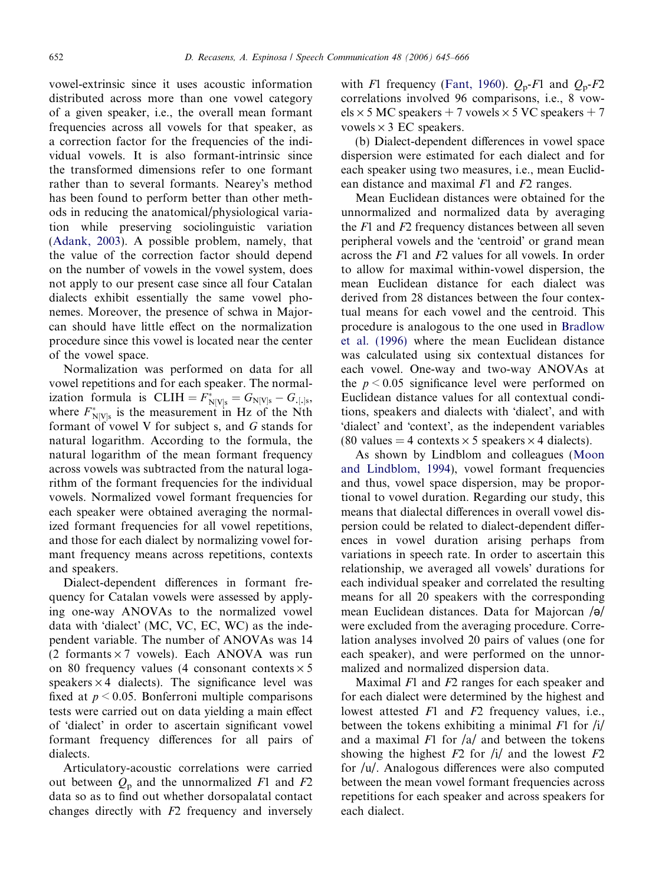vowel-extrinsic since it uses acoustic information distributed across more than one vowel category of a given speaker, i.e., the overall mean formant frequencies across all vowels for that speaker, as a correction factor for the frequencies of the individual vowels. It is also formant-intrinsic since the transformed dimensions refer to one formant rather than to several formants. Nearey's method has been found to perform better than other methods in reducing the anatomical/physiological variation while preserving sociolinguistic variation ([Adank, 2003](#page-20-0)). A possible problem, namely, that the value of the correction factor should depend on the number of vowels in the vowel system, does not apply to our present case since all four Catalan dialects exhibit essentially the same vowel phonemes. Moreover, the presence of schwa in Majorcan should have little effect on the normalization procedure since this vowel is located near the center of the vowel space.

Normalization was performed on data for all vowel repetitions and for each speaker. The normalization formula is  $CLIH = F_{N[V]s}^* = G_{N[V]s} - G_{N[S]s}$ where  $F_{N[V]s}^*$  is the measurement in Hz of the Nth formant of vowel V for subject s, and G stands for natural logarithm. According to the formula, the natural logarithm of the mean formant frequency across vowels was subtracted from the natural logarithm of the formant frequencies for the individual vowels. Normalized vowel formant frequencies for each speaker were obtained averaging the normalized formant frequencies for all vowel repetitions, and those for each dialect by normalizing vowel formant frequency means across repetitions, contexts and speakers.

Dialect-dependent differences in formant frequency for Catalan vowels were assessed by applying one-way ANOVAs to the normalized vowel data with 'dialect' (MC, VC, EC, WC) as the independent variable. The number of ANOVAs was 14 (2 formants  $\times$  7 vowels). Each ANOVA was run on 80 frequency values (4 consonant contexts  $\times$  5 speakers  $\times$  4 dialects). The significance level was fixed at  $p < 0.05$ . Bonferroni multiple comparisons tests were carried out on data yielding a main effect of 'dialect' in order to ascertain significant vowel formant frequency differences for all pairs of dialects.

Articulatory-acoustic correlations were carried out between  $Q_p$  and the unnormalized F1 and F2 data so as to find out whether dorsopalatal contact changes directly with F2 frequency and inversely

with F1 frequency [\(Fant, 1960\)](#page-20-0).  $Q_p$ -F1 and  $Q_p$ -F2 correlations involved 96 comparisons, i.e., 8 vow $els \times 5$  MC speakers + 7 vowels  $\times 5$  VC speakers + 7 vowels  $\times$  3 EC speakers.

(b) Dialect-dependent differences in vowel space dispersion were estimated for each dialect and for each speaker using two measures, i.e., mean Euclidean distance and maximal  $F1$  and  $F2$  ranges.

Mean Euclidean distances were obtained for the unnormalized and normalized data by averaging the F1 and F2 frequency distances between all seven peripheral vowels and the 'centroid' or grand mean across the F1 and F2 values for all vowels. In order to allow for maximal within-vowel dispersion, the mean Euclidean distance for each dialect was derived from 28 distances between the four contextual means for each vowel and the centroid. This procedure is analogous to the one used in [Bradlow](#page-20-0) [et al. \(1996\)](#page-20-0) where the mean Euclidean distance was calculated using six contextual distances for each vowel. One-way and two-way ANOVAs at the  $p \leq 0.05$  significance level were performed on Euclidean distance values for all contextual conditions, speakers and dialects with 'dialect', and with 'dialect' and 'context', as the independent variables (80 values = 4 contexts  $\times$  5 speakers  $\times$  4 dialects).

As shown by Lindblom and colleagues [\(Moon](#page-21-0) [and Lindblom, 1994](#page-21-0)), vowel formant frequencies and thus, vowel space dispersion, may be proportional to vowel duration. Regarding our study, this means that dialectal differences in overall vowel dispersion could be related to dialect-dependent differences in vowel duration arising perhaps from variations in speech rate. In order to ascertain this relationship, we averaged all vowels' durations for each individual speaker and correlated the resulting means for all 20 speakers with the corresponding mean Euclidean distances. Data for Majorcan  $\sqrt{\theta}$ were excluded from the averaging procedure. Correlation analyses involved 20 pairs of values (one for each speaker), and were performed on the unnormalized and normalized dispersion data.

Maximal F1 and F2 ranges for each speaker and for each dialect were determined by the highest and lowest attested F1 and F2 frequency values, i.e., between the tokens exhibiting a minimal  $F1$  for  $\frac{1}{4}$ and a maximal  $F1$  for  $\frac{a}{a}$  and between the tokens showing the highest  $F2$  for /i/ and the lowest  $F2$ for /u/. Analogous differences were also computed between the mean vowel formant frequencies across repetitions for each speaker and across speakers for each dialect.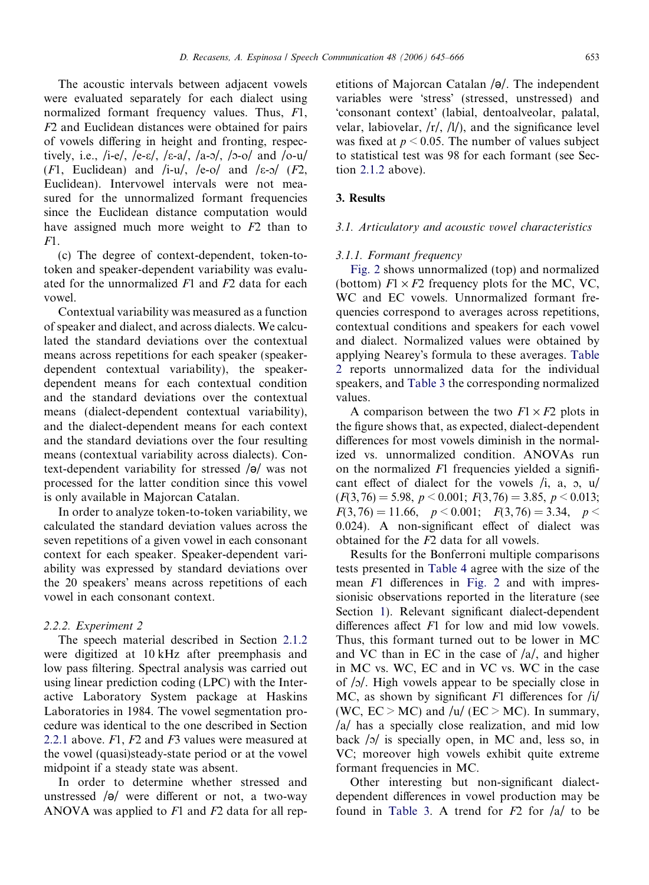<span id="page-8-0"></span>The acoustic intervals between adjacent vowels were evaluated separately for each dialect using normalized formant frequency values. Thus, F1, F2 and Euclidean distances were obtained for pairs of vowels differing in height and fronting, respectively, i.e., /i-e/, /e-ε/, /ε-a/, /a-o/, /ɔ-o/ and /o-u/ (F1, Euclidean) and /i-u/, /e-o/ and / $\varepsilon$ -o/ (F2, Euclidean). Intervowel intervals were not measured for the unnormalized formant frequencies since the Euclidean distance computation would have assigned much more weight to F2 than to  $F1$ .

(c) The degree of context-dependent, token-totoken and speaker-dependent variability was evaluated for the unnormalized  $F1$  and  $F2$  data for each vowel.

Contextual variability was measured as a function of speaker and dialect, and across dialects. We calculated the standard deviations over the contextual means across repetitions for each speaker (speakerdependent contextual variability), the speakerdependent means for each contextual condition and the standard deviations over the contextual means (dialect-dependent contextual variability), and the dialect-dependent means for each context and the standard deviations over the four resulting means (contextual variability across dialects). Context-dependent variability for stressed  $\sqrt{\theta}$  was not processed for the latter condition since this vowel is only available in Majorcan Catalan.

In order to analyze token-to-token variability, we calculated the standard deviation values across the seven repetitions of a given vowel in each consonant context for each speaker. Speaker-dependent variability was expressed by standard deviations over the 20 speakers' means across repetitions of each vowel in each consonant context.

## 2.2.2. Experiment 2

The speech material described in Section [2.1.2](#page-5-0) were digitized at 10 kHz after preemphasis and low pass filtering. Spectral analysis was carried out using linear prediction coding (LPC) with the Interactive Laboratory System package at Haskins Laboratories in 1984. The vowel segmentation procedure was identical to the one described in Section [2.2.1](#page-6-0) above. F1, F2 and F3 values were measured at the vowel (quasi)steady-state period or at the vowel midpoint if a steady state was absent.

In order to determine whether stressed and unstressed  $\sqrt{\theta}$  were different or not, a two-way ANOVA was applied to  $F1$  and  $F2$  data for all repetitions of Majorcan Catalan  $\sqrt{\theta}$ . The independent variables were 'stress' (stressed, unstressed) and 'consonant context' (labial, dentoalveolar, palatal, velar, labiovelar,  $\langle r \rangle$ ,  $\langle l \rangle$ , and the significance level was fixed at  $p < 0.05$ . The number of values subject to statistical test was 98 for each formant (see Section [2.1.2](#page-5-0) above).

## 3. Results

#### 3.1. Articulatory and acoustic vowel characteristics

#### 3.1.1. Formant frequency

[Fig. 2](#page-9-0) shows unnormalized (top) and normalized (bottom)  $F1 \times F2$  frequency plots for the MC, VC, WC and EC vowels. Unnormalized formant frequencies correspond to averages across repetitions, contextual conditions and speakers for each vowel and dialect. Normalized values were obtained by applying Nearey's formula to these averages. [Table](#page-10-0) [2](#page-10-0) reports unnormalized data for the individual speakers, and [Table 3](#page-11-0) the corresponding normalized values.

A comparison between the two  $F1 \times F2$  plots in the figure shows that, as expected, dialect-dependent differences for most vowels diminish in the normalized vs. unnormalized condition. ANOVAs run on the normalized F1 frequencies yielded a significant effect of dialect for the vowels  $/i$ , a,  $\infty$ ,  $u$  $(F(3, 76) = 5.98, p < 0.001; F(3, 76) = 3.85, p < 0.013;$  $F(3, 76) = 11.66, p < 0.001; F(3, 76) = 3.34, p <$ 0.024). A non-significant effect of dialect was obtained for the F2 data for all vowels.

Results for the Bonferroni multiple comparisons tests presented in [Table 4](#page-12-0) agree with the size of the mean F1 differences in [Fig. 2](#page-9-0) and with impressionisic observations reported in the literature (see Section [1\)](#page-0-0). Relevant significant dialect-dependent differences affect  $F1$  for low and mid low vowels. Thus, this formant turned out to be lower in MC and VC than in EC in the case of /a/, and higher in MC vs. WC, EC and in VC vs. WC in the case of  $/$ o/. High vowels appear to be specially close in MC, as shown by significant  $F1$  differences for  $/i/$ (WC,  $EC > MC$ ) and /u/ ( $EC > MC$ ). In summary, /a/ has a specially close realization, and mid low back  $\sqrt{2}$  is specially open, in MC and, less so, in VC; moreover high vowels exhibit quite extreme formant frequencies in MC.

Other interesting but non-significant dialectdependent differences in vowel production may be found in [Table 3.](#page-11-0) A trend for  $F2$  for  $|a|$  to be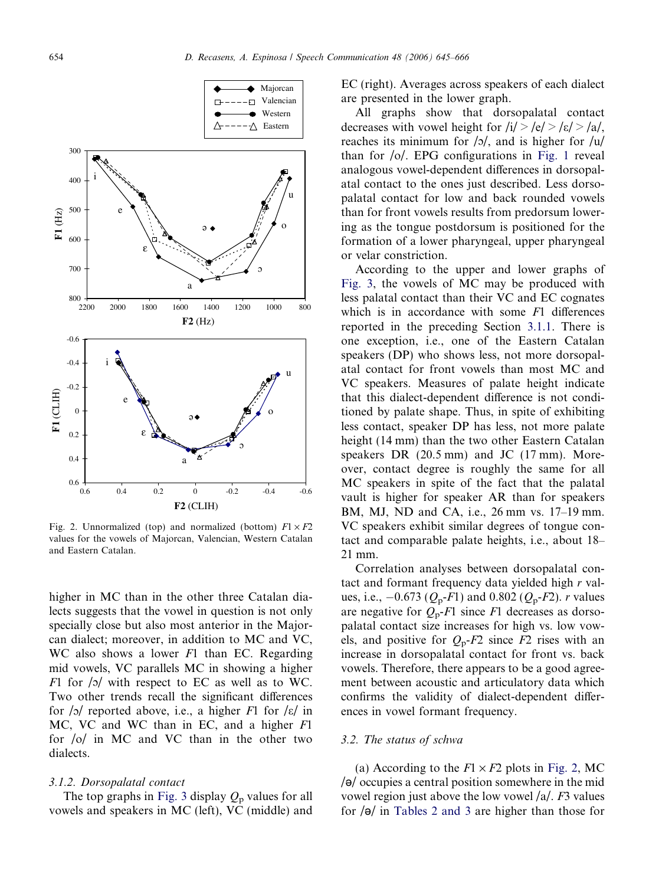<span id="page-9-0"></span>

Fig. 2. Unnormalized (top) and normalized (bottom)  $F1 \times F2$ values for the vowels of Majorcan, Valencian, Western Catalan and Eastern Catalan.

higher in MC than in the other three Catalan dialects suggests that the vowel in question is not only specially close but also most anterior in the Majorcan dialect; moreover, in addition to MC and VC, WC also shows a lower F1 than EC. Regarding mid vowels, VC parallels MC in showing a higher F1 for  $\sqrt{2}$  with respect to EC as well as to WC. Two other trends recall the significant differences for  $\sqrt{2}$  reported above, i.e., a higher F1 for  $\sqrt{\epsilon}$  in MC, VC and WC than in EC, and a higher F1 for /o/ in MC and VC than in the other two dialects.

#### 3.1.2. Dorsopalatal contact

The top graphs in [Fig. 3](#page-12-0) display  $Q_p$  values for all vowels and speakers in MC (left), VC (middle) and

EC (right). Averages across speakers of each dialect are presented in the lower graph.

All graphs show that dorsopalatal contact decreases with vowel height for  $\frac{i}{>}|e| > \frac{\varepsilon}{>}$  /a/, reaches its minimum for  $\frac{1}{2}$ , and is higher for  $\frac{1}{u}$ than for  $\frac{1}{2}$ . EPG configurations in [Fig. 1](#page-6-0) reveal analogous vowel-dependent differences in dorsopalatal contact to the ones just described. Less dorsopalatal contact for low and back rounded vowels than for front vowels results from predorsum lowering as the tongue postdorsum is positioned for the formation of a lower pharyngeal, upper pharyngeal or velar constriction.

According to the upper and lower graphs of [Fig. 3,](#page-12-0) the vowels of MC may be produced with less palatal contact than their VC and EC cognates which is in accordance with some F1 differences reported in the preceding Section [3.1.1.](#page-8-0) There is one exception, i.e., one of the Eastern Catalan speakers (DP) who shows less, not more dorsopalatal contact for front vowels than most MC and VC speakers. Measures of palate height indicate that this dialect-dependent difference is not conditioned by palate shape. Thus, in spite of exhibiting less contact, speaker DP has less, not more palate height (14 mm) than the two other Eastern Catalan speakers DR (20.5 mm) and JC (17 mm). Moreover, contact degree is roughly the same for all MC speakers in spite of the fact that the palatal vault is higher for speaker AR than for speakers BM, MJ, ND and CA, i.e., 26 mm vs. 17–19 mm. VC speakers exhibit similar degrees of tongue contact and comparable palate heights, i.e., about 18– 21 mm.

Correlation analyses between dorsopalatal contact and formant frequency data yielded high r values, i.e.,  $-0.673$  ( $Q_p$ -F1) and 0.802 ( $Q_p$ -F2). *r* values are negative for  $Q_p$ -F1 since F1 decreases as dorsopalatal contact size increases for high vs. low vowels, and positive for  $Q_p$ -F2 since F2 rises with an increase in dorsopalatal contact for front vs. back vowels. Therefore, there appears to be a good agreement between acoustic and articulatory data which confirms the validity of dialect-dependent differences in vowel formant frequency.

#### 3.2. The status of schwa

(a) According to the  $F1 \times F2$  plots in Fig. 2, MC  $\sqrt{\theta}$  occupies a central position somewhere in the mid vowel region just above the low vowel  $/a$ . F3 values for  $\sqrt{\theta}$  in [Tables 2 and 3](#page-10-0) are higher than those for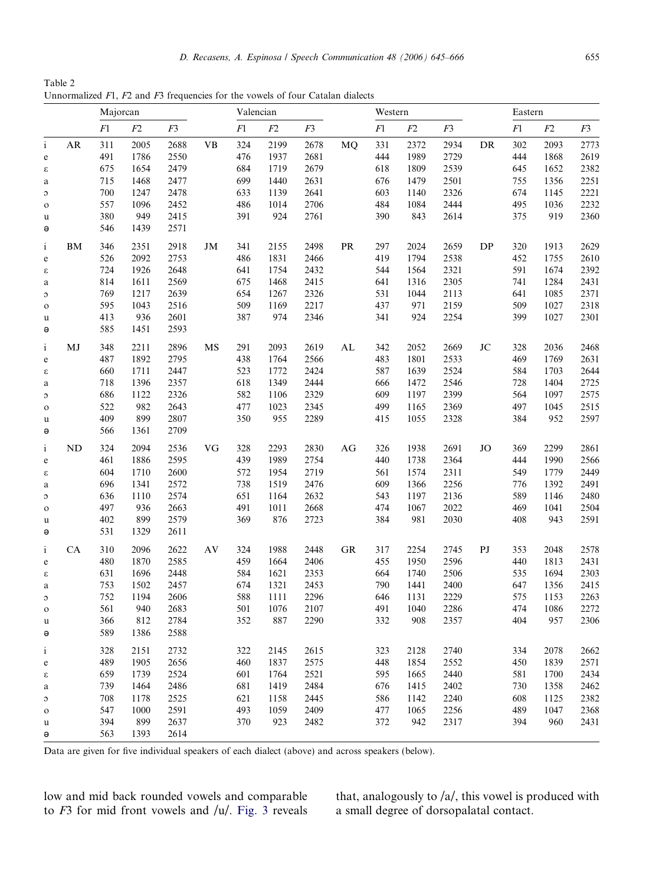<span id="page-10-0"></span>Table 2 Unnormalized F1, F2 and F3 frequencies for the vowels of four Catalan dialects

|              |    | Majorcan |             |      | Valencian |     |             |      | Western    |     |      |      | Eastern  |             |      |      |
|--------------|----|----------|-------------|------|-----------|-----|-------------|------|------------|-----|------|------|----------|-------------|------|------|
|              |    | F1       | ${\cal F}2$ | F3   |           | F1  | ${\cal F}2$ | F3   |            | F1  | F2   | F3   |          | ${\cal F}1$ | F2   | F3   |
| $\mathbf{i}$ | AR | 311      | 2005        | 2688 | <b>VB</b> | 324 | 2199        | 2678 | MQ         | 331 | 2372 | 2934 | DR       | 302         | 2093 | 2773 |
| $\mathbf e$  |    | 491      | 1786        | 2550 |           | 476 | 1937        | 2681 |            | 444 | 1989 | 2729 |          | 444         | 1868 | 2619 |
| ε            |    | 675      | 1654        | 2479 |           | 684 | 1719        | 2679 |            | 618 | 1809 | 2539 |          | 645         | 1652 | 2382 |
| $\mathbf a$  |    | 715      | 1468        | 2477 |           | 699 | 1440        | 2631 |            | 676 | 1479 | 2501 |          | 755         | 1356 | 2251 |
| $\circ$      |    | 700      | 1247        | 2478 |           | 633 | 1139        | 2641 |            | 603 | 1140 | 2326 |          | 674         | 1145 | 2221 |
| $\mathbf O$  |    | 557      | 1096        | 2452 |           | 486 | 1014        | 2706 |            | 484 | 1084 | 2444 |          | 495         | 1036 | 2232 |
| u            |    | 380      | 949         | 2415 |           | 391 | 924         | 2761 |            | 390 | 843  | 2614 |          | 375         | 919  | 2360 |
| ә            |    | 546      | 1439        | 2571 |           |     |             |      |            |     |      |      |          |             |      |      |
| $\mathbf{i}$ | BM | 346      | 2351        | 2918 | JM        | 341 | 2155        | 2498 | <b>PR</b>  | 297 | 2024 | 2659 | DP       | 320         | 1913 | 2629 |
| $\mathbf e$  |    | 526      | 2092        | 2753 |           | 486 | 1831        | 2466 |            | 419 | 1794 | 2538 |          | 452         | 1755 | 2610 |
| ε            |    | 724      | 1926        | 2648 |           | 641 | 1754        | 2432 |            | 544 | 1564 | 2321 |          | 591         | 1674 | 2392 |
| $\rm{a}$     |    | 814      | 1611        | 2569 |           | 675 | 1468        | 2415 |            | 641 | 1316 | 2305 |          | 741         | 1284 | 2431 |
| $\circ$      |    | 769      | 1217        | 2639 |           | 654 | 1267        | 2326 |            | 531 | 1044 | 2113 |          | 641         | 1085 | 2371 |
| $\circ$      |    | 595      | 1043        | 2516 |           | 509 | 1169        | 2217 |            | 437 | 971  | 2159 |          | 509         | 1027 | 2318 |
| u            |    | 413      | 936         | 2601 |           | 387 | 974         | 2346 |            | 341 | 924  | 2254 |          | 399         | 1027 | 2301 |
| ә            |    | 585      | 1451        | 2593 |           |     |             |      |            |     |      |      |          |             |      |      |
| $\mathbf{i}$ | MJ | 348      | 2211        | 2896 | MS        | 291 | 2093        | 2619 | ${\rm AL}$ | 342 | 2052 | 2669 | $\rm JC$ | 328         | 2036 | 2468 |
| $\mathbf e$  |    | 487      | 1892        | 2795 |           | 438 | 1764        | 2566 |            | 483 | 1801 | 2533 |          | 469         | 1769 | 2631 |
| ε            |    | 660      | 1711        | 2447 |           | 523 | 1772        | 2424 |            | 587 | 1639 | 2524 |          | 584         | 1703 | 2644 |
| $\rm{a}$     |    | 718      | 1396        | 2357 |           | 618 | 1349        | 2444 |            | 666 | 1472 | 2546 |          | 728         | 1404 | 2725 |
| $\circ$      |    | 686      | 1122        | 2326 |           | 582 | 1106        | 2329 |            | 609 | 1197 | 2399 |          | 564         | 1097 | 2575 |
| $\mathbf O$  |    | 522      | 982         | 2643 |           | 477 | 1023        | 2345 |            | 499 | 1165 | 2369 |          | 497         | 1045 | 2515 |
| u            |    | 409      | 899         | 2807 |           | 350 | 955         | 2289 |            | 415 | 1055 | 2328 |          | 384         | 952  | 2597 |
| $\Theta$     |    | 566      | 1361        | 2709 |           |     |             |      |            |     |      |      |          |             |      |      |
| $\mathbf{i}$ | ND | 324      | 2094        | 2536 | VG        | 328 | 2293        | 2830 | AG         | 326 | 1938 | 2691 | JO       | 369         | 2299 | 2861 |
| $\rm e$      |    | 461      | 1886        | 2595 |           | 439 | 1989        | 2754 |            | 440 | 1738 | 2364 |          | 444         | 1990 | 2566 |
| ε            |    | 604      | 1710        | 2600 |           | 572 | 1954        | 2719 |            | 561 | 1574 | 2311 |          | 549         | 1779 | 2449 |
| $\mathbf a$  |    | 696      | 1341        | 2572 |           | 738 | 1519        | 2476 |            | 609 | 1366 | 2256 |          | 776         | 1392 | 2491 |
| $\circ$      |    | 636      | 1110        | 2574 |           | 651 | 1164        | 2632 |            | 543 | 1197 | 2136 |          | 589         | 1146 | 2480 |
| $\mathbf{o}$ |    | 497      | 936         | 2663 |           | 491 | 1011        | 2668 |            | 474 | 1067 | 2022 |          | 469         | 1041 | 2504 |
| u            |    | 402      | 899         | 2579 |           | 369 | 876         | 2723 |            | 384 | 981  | 2030 |          | 408         | 943  | 2591 |
| ә            |    | 531      | 1329        | 2611 |           |     |             |      |            |     |      |      |          |             |      |      |
| $\mathbf{i}$ | CA | 310      | 2096        | 2622 | AV        | 324 | 1988        | 2448 | ${\rm GR}$ | 317 | 2254 | 2745 | PJ       | 353         | 2048 | 2578 |
| e            |    | 480      | 1870        | 2585 |           | 459 | 1664        | 2406 |            | 455 | 1950 | 2596 |          | 440         | 1813 | 2431 |
| ε            |    | 631      | 1696        | 2448 |           | 584 | 1621        | 2353 |            | 664 | 1740 | 2506 |          | 535         | 1694 | 2303 |
| a            |    | 753      | 1502        | 2457 |           | 674 | 1321        | 2453 |            | 790 | 1441 | 2400 |          | 647         | 1356 | 2415 |
| $\circ$      |    | 752      | 1194        | 2606 |           | 588 | 1111        | 2296 |            | 646 | 1131 | 2229 |          | 575         | 1153 | 2263 |
| $\mathbf O$  |    | 561      | 940         | 2683 |           | 501 | 1076        | 2107 |            | 491 | 1040 | 2286 |          | 474         | 1086 | 2272 |
| u            |    | 366      | 812         | 2784 |           | 352 | 887         | 2290 |            | 332 | 908  | 2357 |          | 404         | 957  | 2306 |
| $\Theta$     |    | 589      | 1386        | 2588 |           |     |             |      |            |     |      |      |          |             |      |      |
| $\mathbf 1$  |    | 328      | 2151        | 2732 |           | 322 | 2145        | 2615 |            | 323 | 2128 | 2740 |          | 334         | 2078 | 2662 |
| e            |    | 489      | 1905        | 2656 |           | 460 | 1837        | 2575 |            | 448 | 1854 | 2552 |          | 450         | 1839 | 2571 |
| ε            |    | 659      | 1739        | 2524 |           | 601 | 1764        | 2521 |            | 595 | 1665 | 2440 |          | 581         | 1700 | 2434 |
| a            |    | 739      | 1464        | 2486 |           | 681 | 1419        | 2484 |            | 676 | 1415 | 2402 |          | 730         | 1358 | 2462 |
| C            |    | 708      | 1178        | 2525 |           | 621 | 1158        | 2445 |            | 586 | 1142 | 2240 |          | 608         | 1125 | 2382 |
| $\mathbf O$  |    | 547      | 1000        | 2591 |           | 493 | 1059        | 2409 |            | 477 | 1065 | 2256 |          | 489         | 1047 | 2368 |
| u            |    | 394      | 899         | 2637 |           | 370 | 923         | 2482 |            | 372 | 942  | 2317 |          | 394         | 960  | 2431 |
| ә            |    | 563      | 1393        | 2614 |           |     |             |      |            |     |      |      |          |             |      |      |

Data are given for five individual speakers of each dialect (above) and across speakers (below).

low and mid back rounded vowels and comparable to  $F3$  for mid front vowels and  $/u/$ . [Fig. 3](#page-12-0) reveals that, analogously to /a/, this vowel is produced with a small degree of dorsopalatal contact.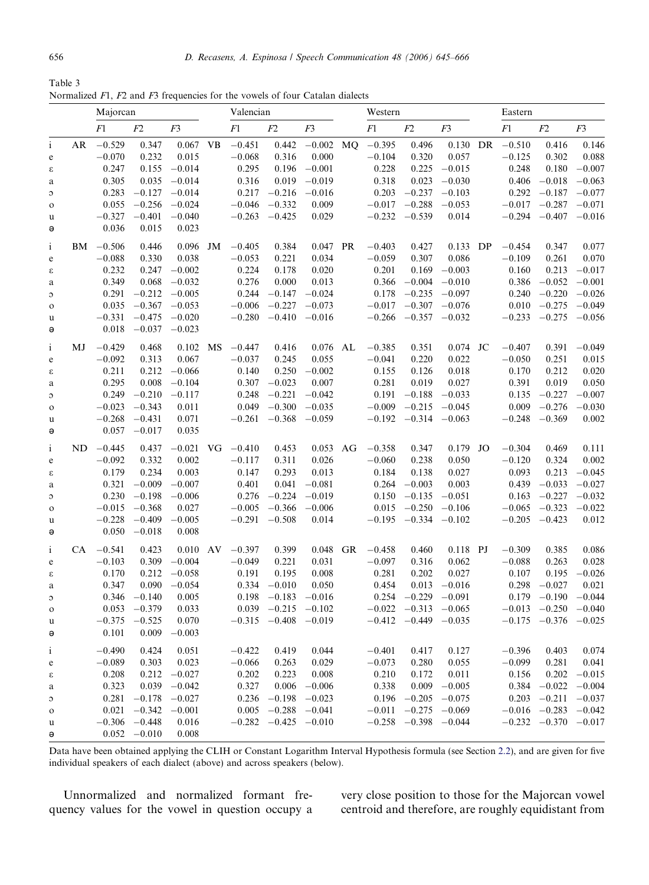<span id="page-11-0"></span>Table 3 Normalized F1, F2 and F3 frequencies for the vowels of four Catalan dialects

|                                   |    | Majorcan    |                   |                 |           | Valencian            |                            |                   | Western   |          |                            |                |    | Eastern  |                            |                |  |
|-----------------------------------|----|-------------|-------------------|-----------------|-----------|----------------------|----------------------------|-------------------|-----------|----------|----------------------------|----------------|----|----------|----------------------------|----------------|--|
|                                   |    | F1          | F2                | F <sub>3</sub>  |           | F1                   | F2                         | F3                |           | F1       | F2                         | F <sub>3</sub> |    | F1       | F2                         | F <sub>3</sub> |  |
| $\mathbf{i}$                      | AR | $-0.529$    | 0.347             | 0.067           | <b>VB</b> | $-0.451$             | 0.442                      | $-0.002$          | <b>MQ</b> | $-0.395$ | 0.496                      | 0.130          | DR | $-0.510$ | 0.416                      | 0.146          |  |
| $\mathbf e$                       |    | $-0.070$    | 0.232             | 0.015           |           | $-0.068$             | 0.316                      | 0.000             |           | $-0.104$ | 0.320                      | 0.057          |    | $-0.125$ | 0.302                      | 0.088          |  |
| ε                                 |    | 0.247       | 0.155             | $-0.014$        |           | 0.295                |                            | $0.196 - 0.001$   |           | 0.228    | 0.225                      | $-0.015$       |    | 0.248    | 0.180                      | $-0.007$       |  |
| a                                 |    | 0.305       | 0.035             | $-0.014$        |           | 0.316                |                            | $0.019 - 0.019$   |           | 0.318    | 0.023                      | $-0.030$       |    | 0.406    | $-0.018$                   | $-0.063$       |  |
| $\circ$                           |    | 0.283       |                   | $-0.127 -0.014$ |           |                      | $0.217 -0.216 -0.016$      |                   |           | 0.203    | $-0.237$                   | $-0.103$       |    | 0.292    | $-0.187 -0.077$            |                |  |
| $\mathbf{o}$                      |    | 0.055       |                   | $-0.256 -0.024$ |           | $-0.046$             | $-0.332$                   | 0.009             |           | $-0.017$ | $-0.288$                   | $-0.053$       |    | $-0.017$ | $-0.287 -0.071$            |                |  |
| u                                 |    | $-0.327$    | $-0.401$          | $-0.040$        |           |                      | $-0.263 -0.425$            | 0.029             |           |          | $-0.232 -0.539$            | 0.014          |    | $-0.294$ | $-0.407 -0.016$            |                |  |
| ә                                 |    | 0.036       | 0.015             | 0.023           |           |                      |                            |                   |           |          |                            |                |    |          |                            |                |  |
| $\mathbf{i}$                      |    | $BM -0.506$ | 0.446             | 0.096           | JM        | $-0.405$             | 0.384                      | 0.047 PR          |           | $-0.403$ | 0.427                      | $0.133$ DP     |    | $-0.454$ | 0.347                      | 0.077          |  |
| $\mathbf e$                       |    | $-0.088$    | 0.330             | 0.038           |           | $-0.053$             | 0.221                      | 0.034             |           | $-0.059$ | 0.307                      | 0.086          |    | $-0.109$ | 0.261                      | 0.070          |  |
| ε                                 |    | 0.232       | 0.247             | $-0.002$        |           | 0.224                | 0.178                      | 0.020             |           | 0.201    | 0.169                      | $-0.003$       |    | 0.160    | 0.213                      | $-0.017$       |  |
| a                                 |    | 0.349       | 0.068             | $-0.032$        |           | 0.276                | 0.000                      | 0.013             |           | 0.366    | $-0.004$                   | $-0.010$       |    | 0.386    | $-0.052$                   | $-0.001$       |  |
| $\circ$                           |    | 0.291       |                   | $-0.212 -0.005$ |           | 0.244                |                            | $-0.147 - 0.024$  |           | 0.178    | $-0.235 -0.097$            |                |    | 0.240    | $-0.220$                   | $-0.026$       |  |
| $\mathbf{o}$                      |    | 0.035       |                   | $-0.367 -0.053$ |           | $-0.006$             | $-0.227$                   | $-0.073$          |           | $-0.017$ | $-0.307 -0.076$            |                |    | 0.010    | $-0.275$                   | $-0.049$       |  |
| u                                 |    | $-0.331$    | $-0.475$          | $-0.020$        |           |                      | $-0.280 -0.410 -0.016$     |                   |           | $-0.266$ | $-0.357 -0.032$            |                |    | $-0.233$ | $-0.275$                   | $-0.056$       |  |
| ә                                 |    | 0.018       |                   | $-0.037 -0.023$ |           |                      |                            |                   |           |          |                            |                |    |          |                            |                |  |
| $\mathbf{i}$                      | МJ | $-0.429$    | 0.468             | $0.102$ MS      |           | $-0.447$             | 0.416                      | 0.076 AL          |           | $-0.385$ | 0.351                      | $0.074$ JC     |    | $-0.407$ | 0.391                      | $-0.049$       |  |
| $\mathbf e$                       |    | $-0.092$    | 0.313             | 0.067           |           | $-0.037$             | 0.245                      | 0.055             |           | $-0.041$ | 0.220                      | 0.022          |    | $-0.050$ | 0.251                      | 0.015          |  |
| ε                                 |    | 0.211       | 0.212             | $-0.066$        |           | 0.140                | 0.250                      | $-0.002$          |           | 0.155    | 0.126                      | 0.018          |    | 0.170    | 0.212                      | 0.020          |  |
| a                                 |    | 0.295       | 0.008             | $-0.104$        |           | 0.307                | $-0.023$                   | 0.007             |           | 0.281    | 0.019                      | 0.027          |    | 0.391    | 0.019                      | 0.050          |  |
| $\circ$                           |    | 0.249       | $-0.210$          | $-0.117$        |           | 0.248                |                            | $-0.221 -0.042$   |           | 0.191    | $-0.188$                   | $-0.033$       |    | 0.135    | $-0.227$                   | $-0.007$       |  |
| $\mathbf{o}$                      |    | $-0.023$    | $-0.343$          | 0.011           |           | 0.049                |                            | $-0.300 -0.035$   |           | $-0.009$ | $-0.215$                   | $-0.045$       |    | 0.009    | $-0.276$                   | $-0.030$       |  |
| u                                 |    | $-0.268$    | $-0.431$          | 0.071           |           |                      | $-0.261 -0.368 -0.059$     |                   |           |          | $-0.192$ $-0.314$ $-0.063$ |                |    | $-0.248$ | $-0.369$                   | 0.002          |  |
| ә                                 |    |             | $0.057 -0.017$    | 0.035           |           |                      |                            |                   |           |          |                            |                |    |          |                            |                |  |
| $\mathbf{i}$                      |    | $ND -0.445$ | 0.437             |                 |           | $-0.021$ VG $-0.410$ | 0.453                      | $0.053$ AG        |           | $-0.358$ | 0.347                      | $0.179$ JO     |    | $-0.304$ | 0.469                      | 0.111          |  |
| $\mathbf e$                       |    | $-0.092$    | 0.332             | 0.002           |           | $-0.117$             | 0.311                      | 0.026             |           | $-0.060$ | 0.238                      | 0.050          |    | $-0.120$ | 0.324                      | 0.002          |  |
| ε                                 |    | 0.179       | 0.234             | 0.003           |           | 0.147                | 0.293                      | 0.013             |           | 0.184    | 0.138                      | 0.027          |    | 0.093    | 0.213                      | $-0.045$       |  |
| a                                 |    | 0.321       | $-0.009$          | $-0.007$        |           | 0.401                | 0.041                      | $-0.081$          |           | 0.264    | $-0.003$                   | 0.003          |    | 0.439    | $-0.033$                   | $-0.027$       |  |
| $\circ$                           |    | 0.230       | $-0.198$          | $-0.006$        |           | 0.276                | $-0.224$                   | $-0.019$          |           | 0.150    | $-0.135$                   | $-0.051$       |    | 0.163    | $-0.227$                   | $-0.032$       |  |
| $\mathbf{o}$                      |    | $-0.015$    | $-0.368$          | 0.027           |           | $-0.005$             |                            | $-0.366 - 0.006$  |           | 0.015    | $-0.250$                   | $-0.106$       |    | $-0.065$ | $-0.323$                   | $-0.022$       |  |
| u                                 |    | $-0.228$    | $-0.409$          | $-0.005$        |           | $-0.291$             | $-0.508$                   | 0.014             |           |          | $-0.195 -0.334$            | $-0.102$       |    | $-0.205$ | $-0.423$                   | 0.012          |  |
| ә                                 |    | 0.050       | $-0.018$          | 0.008           |           |                      |                            |                   |           |          |                            |                |    |          |                            |                |  |
| $\mathbf{i}$                      |    | $CA$ -0.541 | 0.423             | $0.010$ AV      |           | $-0.397$             | 0.399                      | 0.048             | <b>GR</b> | $-0.458$ | 0.460                      | 0.118 PJ       |    | $-0.309$ | 0.385                      | 0.086          |  |
| $\mathbf e$                       |    | $-0.103$    | 0.309             | $-0.004$        |           | $-0.049$             | 0.221                      | 0.031             |           | $-0.097$ | 0.316                      | 0.062          |    | $-0.088$ | 0.263                      | 0.028          |  |
| $\boldsymbol{\epsilon}$           |    | 0.170       | 0.212             | $-0.058$        |           | 0.191                | 0.195                      | 0.008             |           | 0.281    | 0.202                      | 0.027          |    | 0.107    | 0.195                      | $-0.026$       |  |
| a                                 |    | 0.347       | 0.090             | $-0.054$        |           | 0.334                | $-0.010$                   | 0.050             |           | 0.454    | 0.013                      | $-0.016$       |    | 0.298    | $-0.027$                   | 0.021          |  |
| $\circ$                           |    | 0.346       | $-0.140$          | 0.005           |           | 0.198                |                            | $-0.183 -0.016$   |           | 0.254    | $-0.229$                   | $-0.091$       |    | 0.179    | $-0.190$                   | $-0.044$       |  |
| $\mathbf{o}$                      |    | 0.053       | $-0.379$          | 0.033           |           | 0.039                | $-0.215$                   | $-0.102$          |           | $-0.022$ | $-0.313$                   | $-0.065$       |    | $-0.013$ | $-0.250$                   | $-0.040$       |  |
| u                                 |    | $-0.375$    | $-0.525$          | 0.070           |           | $-0.315$             | $-0.408 - 0.019$           |                   |           | $-0.412$ | $-0.449$                   | $-0.035$       |    | $-0.175$ | $-0.376$                   | $-0.025$       |  |
| ә                                 |    | 0.101       |                   | $0.009 - 0.003$ |           |                      |                            |                   |           |          |                            |                |    |          |                            |                |  |
| $\mathbf{i}$                      |    | $-0.490$    | 0.424             | 0.051           |           | $-0.422$             | 0.419                      | 0.044             |           | $-0.401$ | 0.417                      | 0.127          |    | $-0.396$ | 0.403                      | 0.074          |  |
| $\mathbf{e}% _{t}\left( t\right)$ |    | $-0.089$    | 0.303             | 0.023           |           | $-0.066$             | 0.263                      | 0.029             |           | $-0.073$ | 0.280                      | 0.055          |    | $-0.099$ | 0.281                      | 0.041          |  |
| ε                                 |    | 0.208       |                   | $0.212 -0.027$  |           | 0.202                | 0.223                      | 0.008             |           | 0.210    | 0.172                      | 0.011          |    | 0.156    | 0.202                      | $-0.015$       |  |
| a                                 |    | 0.323       | 0.039             | $-0.042$        |           | 0.327                |                            | $0.006 - 0.006$   |           | 0.338    | 0.009                      | $-0.005$       |    | 0.384    | $-0.022$                   | $-0.004$       |  |
| $\circ$                           |    | 0.281       | $-0.178$          | $-0.027$        |           | 0.236                |                            | $-0.198$ $-0.023$ |           | 0.196    | $-0.205$                   | $-0.075$       |    | 0.203    | $-0.211 - 0.037$           |                |  |
| $\mathbf{o}$                      |    | 0.021       | $-0.342$          | $-0.001$        |           | 0.005                |                            | $-0.288 -0.041$   |           | $-0.011$ | $-0.275$                   | $-0.069$       |    |          | $-0.016$ $-0.283$ $-0.042$ |                |  |
| u                                 |    |             | $-0.306$ $-0.448$ | 0.016           |           |                      | $-0.282$ $-0.425$ $-0.010$ |                   |           | $-0.258$ | $-0.398 -0.044$            |                |    |          | $-0.232 -0.370 -0.017$     |                |  |
| ә                                 |    |             | $0.052 - 0.010$   | 0.008           |           |                      |                            |                   |           |          |                            |                |    |          |                            |                |  |

Data have been obtained applying the CLIH or Constant Logarithm Interval Hypothesis formula (see Section [2.2](#page-6-0)), and are given for five individual speakers of each dialect (above) and across speakers (below).

Unnormalized and normalized formant frequency values for the vowel in question occupy a very close position to those for the Majorcan vowel centroid and therefore, are roughly equidistant from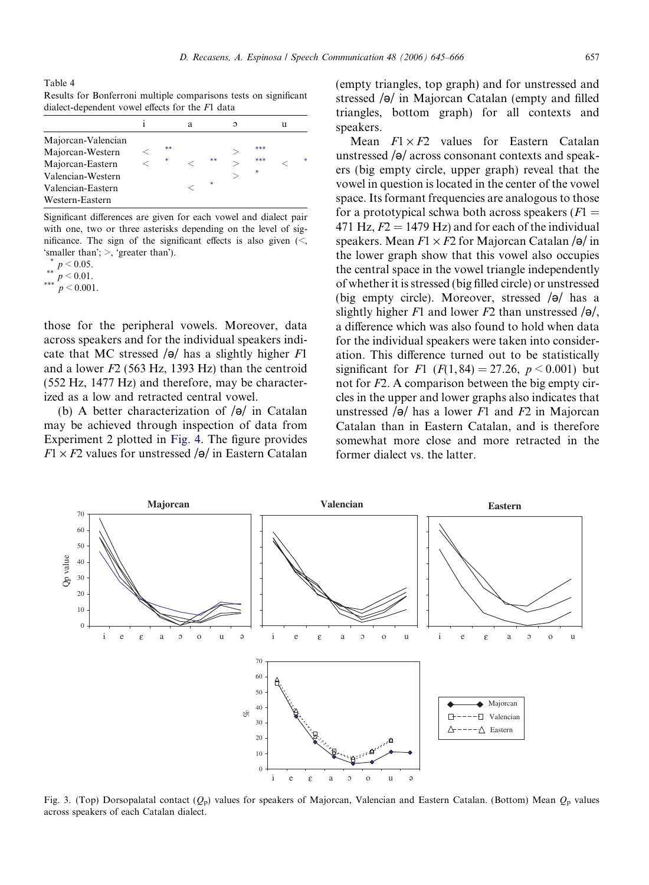<span id="page-12-0"></span>Table 4 Results for Bonferroni multiple comparisons tests on significant dialect-dependent vowel effects for the F1 data

|                                                                                                                         |         | а |         | Э |                 | u |   |
|-------------------------------------------------------------------------------------------------------------------------|---------|---|---------|---|-----------------|---|---|
| Majorcan-Valencian<br>Majorcan-Western<br>Majorcan-Eastern<br>Valencian-Western<br>Valencian-Eastern<br>Western-Eastern | **<br>× |   | **<br>× | ↘ | ***<br>***<br>∗ |   | 米 |

Significant differences are given for each vowel and dialect pair with one, two or three asterisks depending on the level of significance. The sign of the significant effects is also given  $\langle \leq, \rangle$ 'smaller than';  $>$ , 'greater than').

$$
\begin{array}{c} \ast \ p < 0.05, \\ \ast \ast \ p < 0.01. \end{array}
$$

\*\*\*  $p < 0.001$ .

those for the peripheral vowels. Moreover, data across speakers and for the individual speakers indicate that MC stressed  $\sqrt{\theta}$  has a slightly higher F1 and a lower  $F2$  (563 Hz, 1393 Hz) than the centroid (552 Hz, 1477 Hz) and therefore, may be characterized as a low and retracted central vowel.

(b) A better characterization of  $\sqrt{\theta}$  in Catalan may be achieved through inspection of data from Experiment 2 plotted in [Fig. 4](#page-13-0). The figure provides  $F1 \times F2$  values for unstressed  $\sqrt{\theta}$  in Eastern Catalan (empty triangles, top graph) and for unstressed and stressed  $\sqrt{\theta}$  in Majorcan Catalan (empty and filled triangles, bottom graph) for all contexts and speakers.

Mean  $F1 \times F2$  values for Eastern Catalan unstressed  $\sqrt{\theta}$  across consonant contexts and speakers (big empty circle, upper graph) reveal that the vowel in question is located in the center of the vowel space. Its formant frequencies are analogous to those for a prototypical schwa both across speakers  $(F1)$ 471 Hz,  $F2 = 1479$  Hz) and for each of the individual speakers. Mean  $F1 \times F2$  for Majorcan Catalan / $\Theta$ / in the lower graph show that this vowel also occupies the central space in the vowel triangle independently of whether it is stressed (big filled circle) or unstressed (big empty circle). Moreover, stressed  $\sqrt{\theta}$  has a slightly higher F1 and lower F2 than unstressed  $\sqrt{\theta}$ . a difference which was also found to hold when data for the individual speakers were taken into consideration. This difference turned out to be statistically significant for F1 ( $F(1, 84) = 27.26$ ,  $p < 0.001$ ) but not for F2. A comparison between the big empty circles in the upper and lower graphs also indicates that unstressed  $\sqrt{\Theta}$  has a lower F1 and F2 in Majorcan Catalan than in Eastern Catalan, and is therefore somewhat more close and more retracted in the former dialect vs. the latter.



Fig. 3. (Top) Dorsopalatal contact  $(Q_p)$  values for speakers of Majorcan, Valencian and Eastern Catalan. (Bottom) Mean  $Q_p$  values across speakers of each Catalan dialect.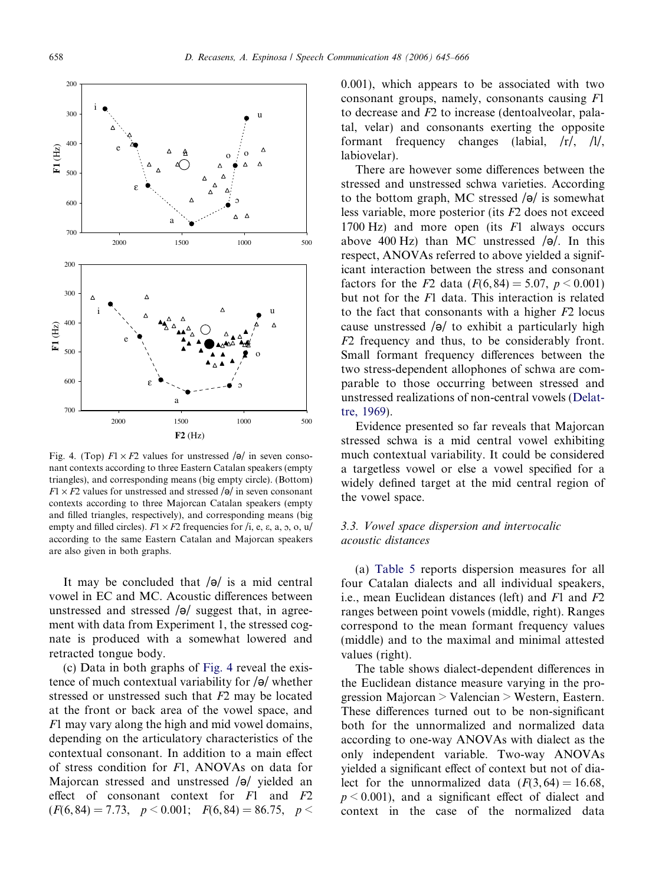<span id="page-13-0"></span>

Fig. 4. (Top)  $F1 \times F2$  values for unstressed  $\sqrt{\theta}$  in seven consonant contexts according to three Eastern Catalan speakers (empty triangles), and corresponding means (big empty circle). (Bottom)  $F1 \times F2$  values for unstressed and stressed  $\sqrt{9}$  in seven consonant contexts according to three Majorcan Catalan speakers (empty and filled triangles, respectively), and corresponding means (big empty and filled circles).  $F1 \times F2$  frequencies for /i, e,  $\varepsilon$ , a,  $\varphi$ ,  $\varphi$ ,  $\psi$ according to the same Eastern Catalan and Majorcan speakers are also given in both graphs.

It may be concluded that  $\sqrt{\theta}$  is a mid central vowel in EC and MC. Acoustic differences between unstressed and stressed  $\sqrt{\theta}$  suggest that, in agreement with data from Experiment 1, the stressed cognate is produced with a somewhat lowered and retracted tongue body.

(c) Data in both graphs of Fig. 4 reveal the existence of much contextual variability for  $\sqrt{\theta}$  whether stressed or unstressed such that F2 may be located at the front or back area of the vowel space, and F1 may vary along the high and mid vowel domains, depending on the articulatory characteristics of the contextual consonant. In addition to a main effect of stress condition for F1, ANOVAs on data for Majorcan stressed and unstressed  $\sqrt{\theta}$  yielded an effect of consonant context for  $F1$  and  $F2$  $(F(6, 84) = 7.73, p \le 0.001; F(6, 84) = 86.75, p \le$ 

0.001), which appears to be associated with two consonant groups, namely, consonants causing F1 to decrease and F2 to increase (dentoalveolar, palatal, velar) and consonants exerting the opposite formant frequency changes (labial, /r/, /l/, labiovelar).

There are however some differences between the stressed and unstressed schwa varieties. According to the bottom graph, MC stressed  $\sqrt{\theta}$  is somewhat less variable, more posterior (its F2 does not exceed 1700 Hz) and more open (its F1 always occurs above 400 Hz) than MC unstressed  $\sqrt{\theta}$ . In this respect, ANOVAs referred to above yielded a significant interaction between the stress and consonant factors for the F2 data  $(F(6, 84) = 5.07, p \le 0.001)$ but not for the F1 data. This interaction is related to the fact that consonants with a higher  $F2$  locus cause unstressed  $\sqrt{\theta}$  to exhibit a particularly high F2 frequency and thus, to be considerably front. Small formant frequency differences between the two stress-dependent allophones of schwa are comparable to those occurring between stressed and unstressed realizations of non-central vowels ([Delat](#page-20-0)[tre, 1969\)](#page-20-0).

Evidence presented so far reveals that Majorcan stressed schwa is a mid central vowel exhibiting much contextual variability. It could be considered a targetless vowel or else a vowel specified for a widely defined target at the mid central region of the vowel space.

# 3.3. Vowel space dispersion and intervocalic acoustic distances

(a) [Table 5](#page-14-0) reports dispersion measures for all four Catalan dialects and all individual speakers, i.e., mean Euclidean distances (left) and  $F1$  and  $F2$ ranges between point vowels (middle, right). Ranges correspond to the mean formant frequency values (middle) and to the maximal and minimal attested values (right).

The table shows dialect-dependent differences in the Euclidean distance measure varying in the progression Majorcan > Valencian > Western, Eastern. These differences turned out to be non-significant both for the unnormalized and normalized data according to one-way ANOVAs with dialect as the only independent variable. Two-way ANOVAs yielded a significant effect of context but not of dialect for the unnormalized data  $(F(3, 64) = 16.68$ .  $p < 0.001$ ), and a significant effect of dialect and context in the case of the normalized data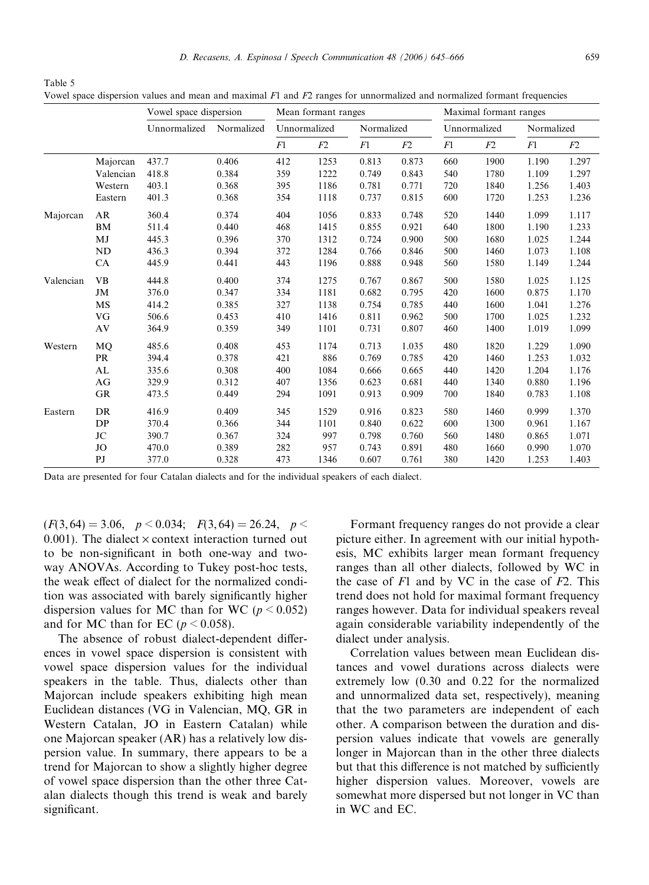<span id="page-14-0"></span>Table 5 Vowel space dispersion values and mean and maximal  $F1$  and  $F2$  ranges for unnormalized and normalized formant frequencies

|           |                | Vowel space dispersion |            | Mean formant ranges |              |            | Maximal formant ranges |              |      |            |       |
|-----------|----------------|------------------------|------------|---------------------|--------------|------------|------------------------|--------------|------|------------|-------|
|           |                | Unnormalized           | Normalized |                     | Unnormalized | Normalized |                        | Unnormalized |      | Normalized |       |
|           |                |                        |            | F1                  | F2           | F1         | F2                     | F1           | F2   | F1         | F2    |
|           | Majorcan       | 437.7                  | 0.406      | 412                 | 1253         | 0.813      | 0.873                  | 660          | 1900 | 1.190      | 1.297 |
|           | Valencian      | 418.8                  | 0.384      | 359                 | 1222         | 0.749      | 0.843                  | 540          | 1780 | 1.109      | 1.297 |
|           | Western        | 403.1                  | 0.368      | 395                 | 1186         | 0.781      | 0.771                  | 720          | 1840 | 1.256      | 1.403 |
|           | Eastern        | 401.3                  | 0.368      | 354                 | 1118         | 0.737      | 0.815                  | 600          | 1720 | 1.253      | 1.236 |
| Majorcan  | AR             | 360.4                  | 0.374      | 404                 | 1056         | 0.833      | 0.748                  | 520          | 1440 | 1.099      | 1.117 |
|           | <b>BM</b>      | 511.4                  | 0.440      | 468                 | 1415         | 0.855      | 0.921                  | 640          | 1800 | 1.190      | 1.233 |
|           | MJ             | 445.3                  | 0.396      | 370                 | 1312         | 0.724      | 0.900                  | 500          | 1680 | 1.025      | 1.244 |
|           | <b>ND</b>      | 436.3                  | 0.394      | 372                 | 1284         | 0.766      | 0.846                  | 500          | 1460 | 1.073      | 1.108 |
|           | CA             | 445.9                  | 0.441      | 443                 | 1196         | 0.888      | 0.948                  | 560          | 1580 | 1.149      | 1.244 |
| Valencian | <b>VB</b>      | 444.8                  | 0.400      | 374                 | 1275         | 0.767      | 0.867                  | 500          | 1580 | 1.025      | 1.125 |
|           | JM             | 376.0                  | 0.347      | 334                 | 1181         | 0.682      | 0.795                  | 420          | 1600 | 0.875      | 1.170 |
|           | <b>MS</b>      | 414.2                  | 0.385      | 327                 | 1138         | 0.754      | 0.785                  | 440          | 1600 | 1.041      | 1.276 |
|           | VG             | 506.6                  | 0.453      | 410                 | 1416         | 0.811      | 0.962                  | 500          | 1700 | 1.025      | 1.232 |
|           | AV             | 364.9                  | 0.359      | 349                 | 1101         | 0.731      | 0.807                  | 460          | 1400 | 1.019      | 1.099 |
| Western   | MQ             | 485.6                  | 0.408      | 453                 | 1174         | 0.713      | 1.035                  | 480          | 1820 | 1.229      | 1.090 |
|           | <b>PR</b>      | 394.4                  | 0.378      | 421                 | 886          | 0.769      | 0.785                  | 420          | 1460 | 1.253      | 1.032 |
|           | AL             | 335.6                  | 0.308      | 400                 | 1084         | 0.666      | 0.665                  | 440          | 1420 | 1.204      | 1.176 |
|           | AG             | 329.9                  | 0.312      | 407                 | 1356         | 0.623      | 0.681                  | 440          | 1340 | 0.880      | 1.196 |
|           | <b>GR</b>      | 473.5                  | 0.449      | 294                 | 1091         | 0.913      | 0.909                  | 700          | 1840 | 0.783      | 1.108 |
| Eastern   | <b>DR</b>      | 416.9                  | 0.409      | 345                 | 1529         | 0.916      | 0.823                  | 580          | 1460 | 0.999      | 1.370 |
|           | DP             | 370.4                  | 0.366      | 344                 | 1101         | 0.840      | 0.622                  | 600          | 1300 | 0.961      | 1.167 |
|           | <b>JC</b>      | 390.7                  | 0.367      | 324                 | 997          | 0.798      | 0.760                  | 560          | 1480 | 0.865      | 1.071 |
|           | JO             | 470.0                  | 0.389      | 282                 | 957          | 0.743      | 0.891                  | 480          | 1660 | 0.990      | 1.070 |
|           | P <sub>J</sub> | 377.0                  | 0.328      | 473                 | 1346         | 0.607      | 0.761                  | 380          | 1420 | 1.253      | 1.403 |

Data are presented for four Catalan dialects and for the individual speakers of each dialect.

 $(F(3, 64) = 3.06, p < 0.034; F(3, 64) = 26.24, p <$ 0.001). The dialect  $\times$  context interaction turned out to be non-significant in both one-way and twoway ANOVAs. According to Tukey post-hoc tests, the weak effect of dialect for the normalized condition was associated with barely significantly higher dispersion values for MC than for WC ( $p < 0.052$ ) and for MC than for EC ( $p \le 0.058$ ).

The absence of robust dialect-dependent differences in vowel space dispersion is consistent with vowel space dispersion values for the individual speakers in the table. Thus, dialects other than Majorcan include speakers exhibiting high mean Euclidean distances (VG in Valencian, MQ, GR in Western Catalan, JO in Eastern Catalan) while one Majorcan speaker (AR) has a relatively low dispersion value. In summary, there appears to be a trend for Majorcan to show a slightly higher degree of vowel space dispersion than the other three Catalan dialects though this trend is weak and barely significant.

Formant frequency ranges do not provide a clear picture either. In agreement with our initial hypothesis, MC exhibits larger mean formant frequency ranges than all other dialects, followed by WC in the case of  $F1$  and by VC in the case of  $F2$ . This trend does not hold for maximal formant frequency ranges however. Data for individual speakers reveal again considerable variability independently of the dialect under analysis.

Correlation values between mean Euclidean distances and vowel durations across dialects were extremely low (0.30 and 0.22 for the normalized and unnormalized data set, respectively), meaning that the two parameters are independent of each other. A comparison between the duration and dispersion values indicate that vowels are generally longer in Majorcan than in the other three dialects but that this difference is not matched by sufficiently higher dispersion values. Moreover, vowels are somewhat more dispersed but not longer in VC than in WC and EC.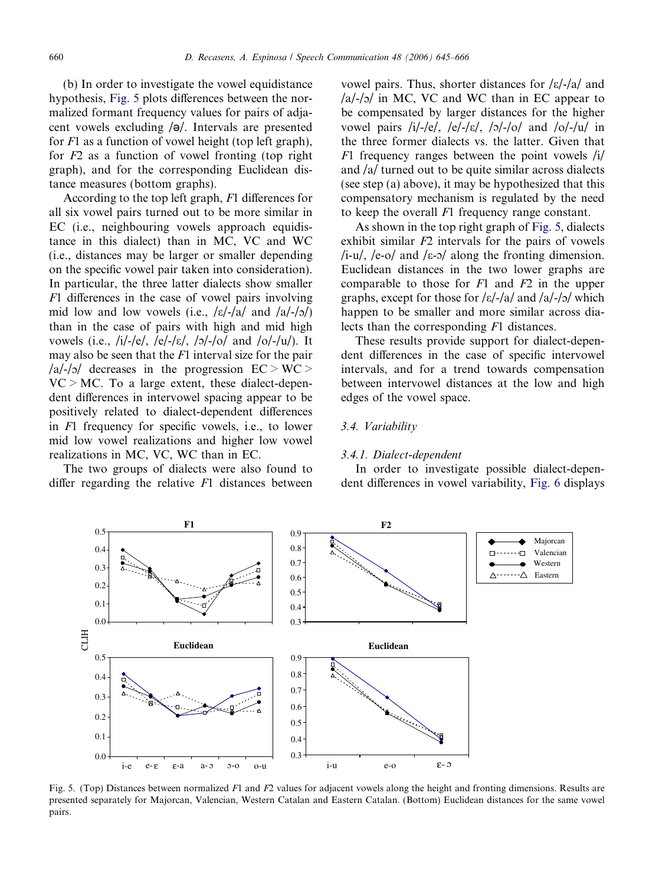(b) In order to investigate the vowel equidistance hypothesis, Fig. 5 plots differences between the normalized formant frequency values for pairs of adjacent vowels excluding  $\sqrt{\theta}$ . Intervals are presented for  $F1$  as a function of vowel height (top left graph), for  $F2$  as a function of vowel fronting (top right graph), and for the corresponding Euclidean distance measures (bottom graphs).

According to the top left graph, F1 differences for all six vowel pairs turned out to be more similar in EC (i.e., neighbouring vowels approach equidistance in this dialect) than in MC, VC and WC (i.e., distances may be larger or smaller depending on the specific vowel pair taken into consideration). In particular, the three latter dialects show smaller F1 differences in the case of vowel pairs involving mid low and low vowels (i.e.,  $\frac{\kappa}{-a}$  and  $\frac{\lambda}{-b}$ ) than in the case of pairs with high and mid high vowels (i.e., /i/-/e/, /e/-/ɛ/, /ɔ/-/o/ and /o/-/u/). It may also be seen that the  $F1$  interval size for the pair /a/-/o/ decreases in the progression  $EC > WC >$  $VC > MC$ . To a large extent, these dialect-dependent differences in intervowel spacing appear to be positively related to dialect-dependent differences in F1 frequency for specific vowels, i.e., to lower mid low vowel realizations and higher low vowel realizations in MC, VC, WC than in EC.

The two groups of dialects were also found to differ regarding the relative  $F1$  distances between

vowel pairs. Thus, shorter distances for  $\frac{\varepsilon}{\varepsilon}$  / $\frac{\varepsilon}{4}$  and  $\alpha$ /a/-/ $\alpha$  in MC, VC and WC than in EC appear to be compensated by larger distances for the higher vowel pairs  $/i/-/e$ ,  $/e/-/e$ ,  $/s/-/o$  and  $/o/-/u/$  in the three former dialects vs. the latter. Given that  $F1$  frequency ranges between the point vowels /i/ and /a/ turned out to be quite similar across dialects (see step (a) above), it may be hypothesized that this compensatory mechanism is regulated by the need to keep the overall F1 frequency range constant.

As shown in the top right graph of Fig. 5, dialects exhibit similar  $F2$  intervals for the pairs of vowels /i-u/, /e-o/ and / $\varepsilon$ - $\sigma$ / along the fronting dimension. Euclidean distances in the two lower graphs are comparable to those for  $F1$  and  $F2$  in the upper graphs, except for those for / $\varepsilon$ /-/a/ and /a/-/ $\sigma$ / which happen to be smaller and more similar across dialects than the corresponding F1 distances.

These results provide support for dialect-dependent differences in the case of specific intervowel intervals, and for a trend towards compensation between intervowel distances at the low and high edges of the vowel space.

#### 3.4. Variability

#### 3.4.1. Dialect-dependent

In order to investigate possible dialect-dependent differences in vowel variability, [Fig. 6](#page-16-0) displays



Fig. 5. (Top) Distances between normalized F1 and F2 values for adjacent vowels along the height and fronting dimensions. Results are presented separately for Majorcan, Valencian, Western Catalan and Eastern Catalan. (Bottom) Euclidean distances for the same vowel pairs.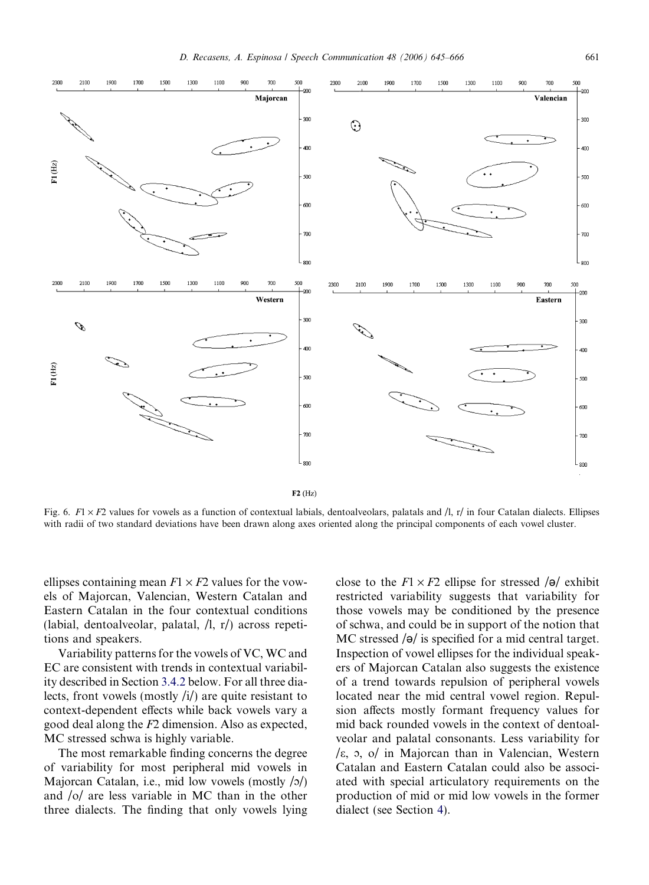<span id="page-16-0"></span>

Fig. 6. F1  $\times$  F2 values for vowels as a function of contextual labials, dentoalveolars, palatals and /l, r/ in four Catalan dialects. Ellipses with radii of two standard deviations have been drawn along axes oriented along the principal components of each vowel cluster.

ellipses containing mean  $F1 \times F2$  values for the vowels of Majorcan, Valencian, Western Catalan and Eastern Catalan in the four contextual conditions (labial, dentoalveolar, palatal, /l, r/) across repetitions and speakers.

Variability patterns for the vowels of VC, WC and EC are consistent with trends in contextual variability described in Section [3.4.2](#page-17-0) below. For all three dialects, front vowels (mostly  $\langle i \rangle$ ) are quite resistant to context-dependent effects while back vowels vary a good deal along the F2 dimension. Also as expected, MC stressed schwa is highly variable.

The most remarkable finding concerns the degree of variability for most peripheral mid vowels in Majorcan Catalan, i.e., mid low vowels (mostly  $\langle \alpha \rangle$ ) and /o/ are less variable in MC than in the other three dialects. The finding that only vowels lying close to the  $F1 \times F2$  ellipse for stressed /ə/ exhibit restricted variability suggests that variability for those vowels may be conditioned by the presence of schwa, and could be in support of the notion that MC stressed  $\sqrt{\theta}$  is specified for a mid central target. Inspection of vowel ellipses for the individual speakers of Majorcan Catalan also suggests the existence of a trend towards repulsion of peripheral vowels located near the mid central vowel region. Repulsion affects mostly formant frequency values for mid back rounded vowels in the context of dentoalveolar and palatal consonants. Less variability for /e, <sup>c</sup> , o/ in Majorcan than in Valencian, Western Catalan and Eastern Catalan could also be associated with special articulatory requirements on the production of mid or mid low vowels in the former dialect (see Section [4](#page-18-0)).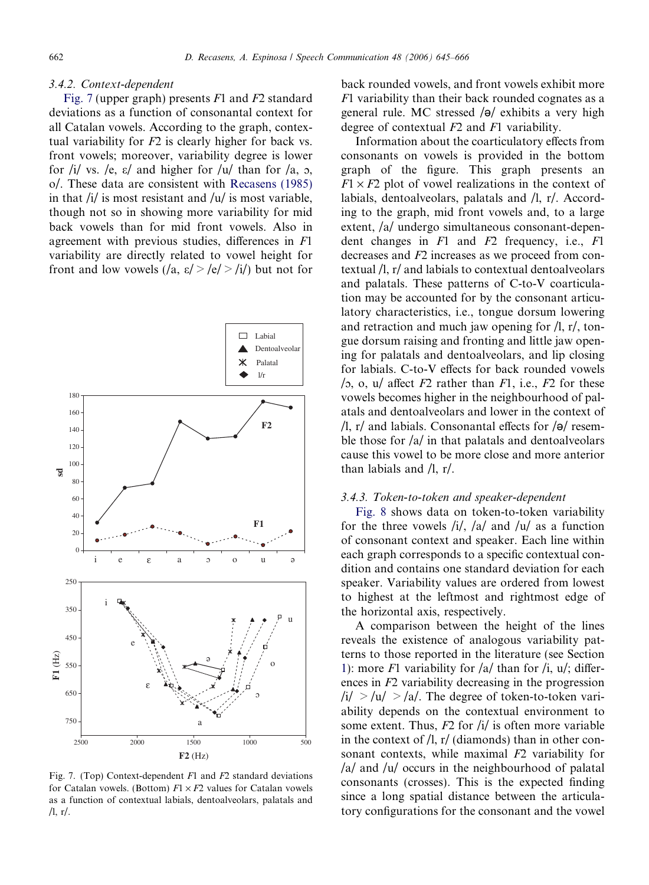#### <span id="page-17-0"></span>3.4.2. Context-dependent

Fig. 7 (upper graph) presents  $F1$  and  $F2$  standard deviations as a function of consonantal context for all Catalan vowels. According to the graph, contextual variability for  $F2$  is clearly higher for back vs. front vowels; moreover, variability degree is lower for /i/ vs. /e,  $\varepsilon$ / and higher for /u/ than for /a, 0, o/. These data are consistent with [Recasens \(1985\)](#page-21-0) in that  $\frac{1}{i}$  is most resistant and  $\frac{1}{u}$  is most variable. though not so in showing more variability for mid back vowels than for mid front vowels. Also in agreement with previous studies, differences in F1 variability are directly related to vowel height for front and low vowels  $(|a, \varepsilon| > |\varepsilon| > |i|)$  but not for



Fig. 7. (Top) Context-dependent  $F1$  and  $F2$  standard deviations for Catalan vowels. (Bottom)  $F1 \times F2$  values for Catalan vowels as a function of contextual labials, dentoalveolars, palatals and  $/l, r/$ .

back rounded vowels, and front vowels exhibit more  $F1$  variability than their back rounded cognates as a general rule. MC stressed  $\sqrt{\theta}$  exhibits a very high degree of contextual F2 and F1 variability.

Information about the coarticulatory effects from consonants on vowels is provided in the bottom graph of the figure. This graph presents an  $F1 \times F2$  plot of vowel realizations in the context of labials, dentoalveolars, palatals and /l, r/. According to the graph, mid front vowels and, to a large extent, /a/ undergo simultaneous consonant-dependent changes in  $F1$  and  $F2$  frequency, i.e.,  $F1$ decreases and F2 increases as we proceed from contextual /l, r/ and labials to contextual dentoalveolars and palatals. These patterns of C-to-V coarticulation may be accounted for by the consonant articulatory characteristics, i.e., tongue dorsum lowering and retraction and much jaw opening for /l, r/, tongue dorsum raising and fronting and little jaw opening for palatals and dentoalveolars, and lip closing for labials. C-to-V effects for back rounded vowels /5, o, u/ affect  $F2$  rather than  $F1$ , i.e.,  $F2$  for these vowels becomes higher in the neighbourhood of palatals and dentoalveolars and lower in the context of  $\frac{1}{r}$ , r/ and labials. Consonantal effects for  $\frac{1}{9}$  resemble those for  $\frac{a}{i}$  in that palatals and dentoalveolars cause this vowel to be more close and more anterior than labials and /l, r/.

#### 3.4.3. Token-to-token and speaker-dependent

[Fig. 8](#page-18-0) shows data on token-to-token variability for the three vowels  $/i/$ ,  $/a/$  and  $/u/$  as a function of consonant context and speaker. Each line within each graph corresponds to a specific contextual condition and contains one standard deviation for each speaker. Variability values are ordered from lowest to highest at the leftmost and rightmost edge of the horizontal axis, respectively.

A comparison between the height of the lines reveals the existence of analogous variability patterns to those reported in the literature (see Section [1](#page-0-0)): more F1 variability for  $\frac{a}{\tan \theta}$  than for  $\frac{h}{v}$ ,  $u$ ; differences in F2 variability decreasing in the progression  $\frac{1}{4}$  >  $\frac{1}{4}$  >  $\frac{1}{4}$ . The degree of token-to-token variability depends on the contextual environment to some extent. Thus,  $F2$  for  $\frac{1}{i}$  is often more variable in the context of  $\Lambda$ , r/ (diamonds) than in other consonant contexts, while maximal F2 variability for /a/ and /u/ occurs in the neighbourhood of palatal consonants (crosses). This is the expected finding since a long spatial distance between the articulatory configurations for the consonant and the vowel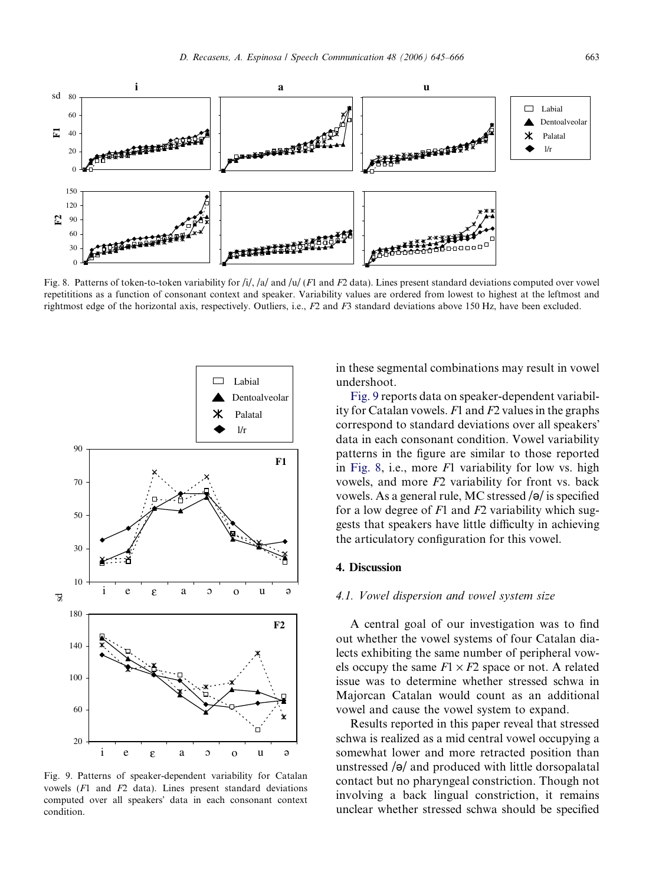<span id="page-18-0"></span>

Fig. 8. Patterns of token-to-token variability for  $\frac{1}{\sqrt{a}}$  and  $\frac{1}{\sqrt{c}}$  and  $\frac{F}{2}$  data). Lines present standard deviations computed over vowel repetititions as a function of consonant context and speaker. Variability values are ordered from lowest to highest at the leftmost and rightmost edge of the horizontal axis, respectively. Outliers, i.e., F2 and F3 standard deviations above 150 Hz, have been excluded.



Fig. 9. Patterns of speaker-dependent variability for Catalan vowels (F1 and F2 data). Lines present standard deviations computed over all speakers' data in each consonant context condition.

in these segmental combinations may result in vowel undershoot.

Fig. 9 reports data on speaker-dependent variability for Catalan vowels.  $F1$  and  $F2$  values in the graphs correspond to standard deviations over all speakers' data in each consonant condition. Vowel variability patterns in the figure are similar to those reported in Fig. 8, i.e., more  $F1$  variability for low vs. high vowels, and more F2 variability for front vs. back vowels. As a general rule, MC stressed  $\sqrt{\theta}$  is specified for a low degree of  $F1$  and  $F2$  variability which suggests that speakers have little difficulty in achieving the articulatory configuration for this vowel.

#### 4. Discussion

## 4.1. Vowel dispersion and vowel system size

A central goal of our investigation was to find out whether the vowel systems of four Catalan dialects exhibiting the same number of peripheral vowels occupy the same  $F1 \times F2$  space or not. A related issue was to determine whether stressed schwa in Majorcan Catalan would count as an additional vowel and cause the vowel system to expand.

Results reported in this paper reveal that stressed schwa is realized as a mid central vowel occupying a somewhat lower and more retracted position than unstressed  $\sqrt{\theta}$  and produced with little dorsopalatal contact but no pharyngeal constriction. Though not involving a back lingual constriction, it remains unclear whether stressed schwa should be specified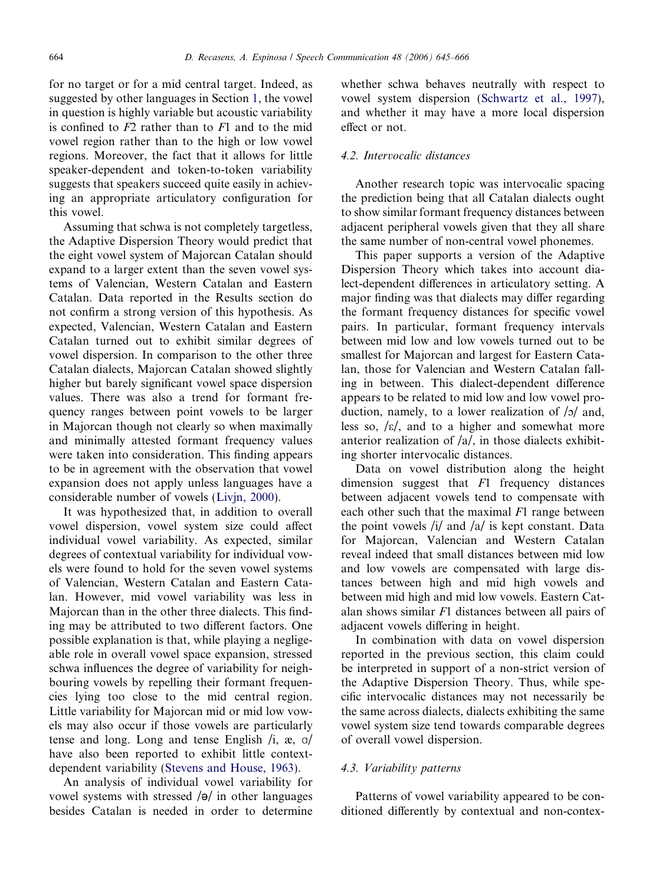for no target or for a mid central target. Indeed, as suggested by other languages in Section [1,](#page-0-0) the vowel in question is highly variable but acoustic variability is confined to  $F2$  rather than to  $F1$  and to the mid vowel region rather than to the high or low vowel regions. Moreover, the fact that it allows for little speaker-dependent and token-to-token variability suggests that speakers succeed quite easily in achieving an appropriate articulatory configuration for this vowel.

Assuming that schwa is not completely targetless, the Adaptive Dispersion Theory would predict that the eight vowel system of Majorcan Catalan should expand to a larger extent than the seven vowel systems of Valencian, Western Catalan and Eastern Catalan. Data reported in the Results section do not confirm a strong version of this hypothesis. As expected, Valencian, Western Catalan and Eastern Catalan turned out to exhibit similar degrees of vowel dispersion. In comparison to the other three Catalan dialects, Majorcan Catalan showed slightly higher but barely significant vowel space dispersion values. There was also a trend for formant frequency ranges between point vowels to be larger in Majorcan though not clearly so when maximally and minimally attested formant frequency values were taken into consideration. This finding appears to be in agreement with the observation that vowel expansion does not apply unless languages have a considerable number of vowels [\(Livjn, 2000](#page-21-0)).

It was hypothesized that, in addition to overall vowel dispersion, vowel system size could affect individual vowel variability. As expected, similar degrees of contextual variability for individual vowels were found to hold for the seven vowel systems of Valencian, Western Catalan and Eastern Catalan. However, mid vowel variability was less in Majorcan than in the other three dialects. This finding may be attributed to two different factors. One possible explanation is that, while playing a negligeable role in overall vowel space expansion, stressed schwa influences the degree of variability for neighbouring vowels by repelling their formant frequencies lying too close to the mid central region. Little variability for Majorcan mid or mid low vowels may also occur if those vowels are particularly tense and long. Long and tense English  $\ell$ ,  $\alpha$ ,  $\alpha$ have also been reported to exhibit little contextdependent variability ([Stevens and House, 1963\)](#page-21-0).

An analysis of individual vowel variability for vowel systems with stressed  $\sqrt{\theta}$  in other languages besides Catalan is needed in order to determine

whether schwa behaves neutrally with respect to vowel system dispersion ([Schwartz et al., 1997](#page-21-0)), and whether it may have a more local dispersion effect or not.

## 4.2. Intervocalic distances

Another research topic was intervocalic spacing the prediction being that all Catalan dialects ought to show similar formant frequency distances between adjacent peripheral vowels given that they all share the same number of non-central vowel phonemes.

This paper supports a version of the Adaptive Dispersion Theory which takes into account dialect-dependent differences in articulatory setting. A major finding was that dialects may differ regarding the formant frequency distances for specific vowel pairs. In particular, formant frequency intervals between mid low and low vowels turned out to be smallest for Majorcan and largest for Eastern Catalan, those for Valencian and Western Catalan falling in between. This dialect-dependent difference appears to be related to mid low and low vowel production, namely, to a lower realization of  $|o|$  and, less so,  $\frac{\epsilon}{\epsilon}$ , and to a higher and somewhat more anterior realization of /a/, in those dialects exhibiting shorter intervocalic distances.

Data on vowel distribution along the height dimension suggest that  $F1$  frequency distances between adjacent vowels tend to compensate with each other such that the maximal  $F1$  range between the point vowels  $\frac{1}{4}$  and  $\frac{1}{4}$  is kept constant. Data for Majorcan, Valencian and Western Catalan reveal indeed that small distances between mid low and low vowels are compensated with large distances between high and mid high vowels and between mid high and mid low vowels. Eastern Catalan shows similar F1 distances between all pairs of adjacent vowels differing in height.

In combination with data on vowel dispersion reported in the previous section, this claim could be interpreted in support of a non-strict version of the Adaptive Dispersion Theory. Thus, while specific intervocalic distances may not necessarily be the same across dialects, dialects exhibiting the same vowel system size tend towards comparable degrees of overall vowel dispersion.

## 4.3. Variability patterns

Patterns of vowel variability appeared to be conditioned differently by contextual and non-contex-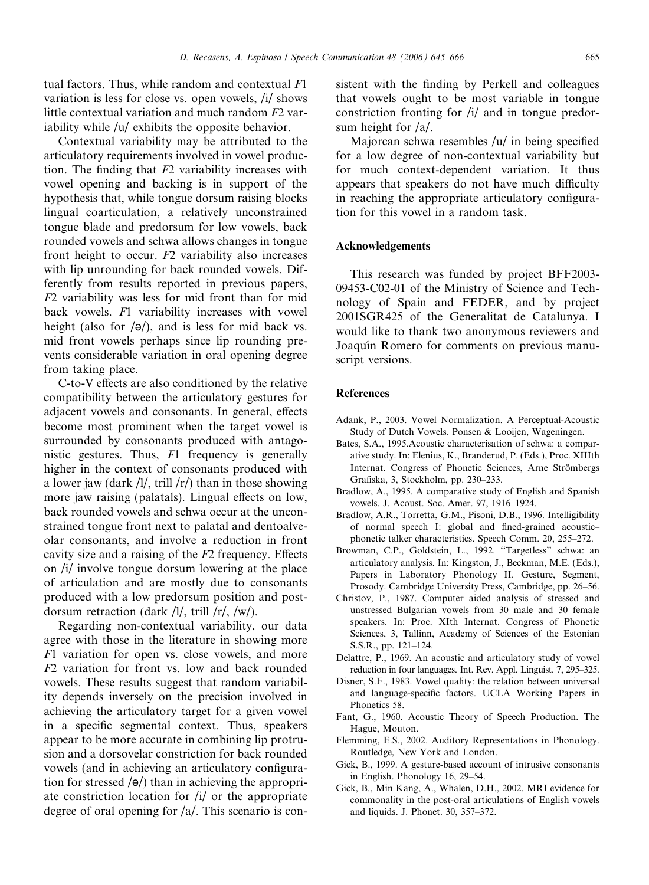<span id="page-20-0"></span>Contextual variability may be attributed to the articulatory requirements involved in vowel production. The finding that  $F2$  variability increases with vowel opening and backing is in support of the hypothesis that, while tongue dorsum raising blocks lingual coarticulation, a relatively unconstrained tongue blade and predorsum for low vowels, back rounded vowels and schwa allows changes in tongue front height to occur. F2 variability also increases with lip unrounding for back rounded vowels. Differently from results reported in previous papers, F2 variability was less for mid front than for mid back vowels. F1 variability increases with vowel height (also for  $\sqrt{\theta}$ ), and is less for mid back vs. mid front vowels perhaps since lip rounding prevents considerable variation in oral opening degree from taking place.

C-to-V effects are also conditioned by the relative compatibility between the articulatory gestures for adjacent vowels and consonants. In general, effects become most prominent when the target vowel is surrounded by consonants produced with antagonistic gestures. Thus, F1 frequency is generally higher in the context of consonants produced with a lower jaw (dark  $/1/$ , trill  $/r/$ ) than in those showing more jaw raising (palatals). Lingual effects on low, back rounded vowels and schwa occur at the unconstrained tongue front next to palatal and dentoalveolar consonants, and involve a reduction in front cavity size and a raising of the F2 frequency. Effects on /i/ involve tongue dorsum lowering at the place of articulation and are mostly due to consonants produced with a low predorsum position and postdorsum retraction (dark /l/, trill /r/, /w/).

Regarding non-contextual variability, our data agree with those in the literature in showing more F1 variation for open vs. close vowels, and more F2 variation for front vs. low and back rounded vowels. These results suggest that random variability depends inversely on the precision involved in achieving the articulatory target for a given vowel in a specific segmental context. Thus, speakers appear to be more accurate in combining lip protrusion and a dorsovelar constriction for back rounded vowels (and in achieving an articulatory configuration for stressed  $\sqrt{\theta}$  than in achieving the appropriate constriction location for  $\frac{1}{4}$  or the appropriate degree of oral opening for  $/a$ . This scenario is con-

sistent with the finding by Perkell and colleagues that vowels ought to be most variable in tongue constriction fronting for /i/ and in tongue predorsum height for /a/.

Majorcan schwa resembles /u/ in being specified for a low degree of non-contextual variability but for much context-dependent variation. It thus appears that speakers do not have much difficulty in reaching the appropriate articulatory configuration for this vowel in a random task.

## Acknowledgements

This research was funded by project BFF2003- 09453-C02-01 of the Ministry of Science and Technology of Spain and FEDER, and by project 2001SGR425 of the Generalitat de Catalunya. I would like to thank two anonymous reviewers and Joaquín Romero for comments on previous manuscript versions.

#### References

- Adank, P., 2003. Vowel Normalization. A Perceptual-Acoustic Study of Dutch Vowels. Ponsen & Looijen, Wageningen.
- Bates, S.A., 1995.Acoustic characterisation of schwa: a comparative study. In: Elenius, K., Branderud, P. (Eds.), Proc. XIIIth Internat. Congress of Phonetic Sciences, Arne Strömbergs Grafiska, 3, Stockholm, pp. 230–233.
- Bradlow, A., 1995. A comparative study of English and Spanish vowels. J. Acoust. Soc. Amer. 97, 1916–1924.
- Bradlow, A.R., Torretta, G.M., Pisoni, D.B., 1996. Intelligibility of normal speech I: global and fined-grained acoustic– phonetic talker characteristics. Speech Comm. 20, 255–272.
- Browman, C.P., Goldstein, L., 1992. ''Targetless'' schwa: an articulatory analysis. In: Kingston, J., Beckman, M.E. (Eds.), Papers in Laboratory Phonology II. Gesture, Segment, Prosody. Cambridge University Press, Cambridge, pp. 26–56.
- Christov, P., 1987. Computer aided analysis of stressed and unstressed Bulgarian vowels from 30 male and 30 female speakers. In: Proc. XIth Internat. Congress of Phonetic Sciences, 3, Tallinn, Academy of Sciences of the Estonian S.S.R., pp. 121–124.
- Delattre, P., 1969. An acoustic and articulatory study of vowel reduction in four languages. Int. Rev. Appl. Linguist. 7, 295–325.
- Disner, S.F., 1983. Vowel quality: the relation between universal and language-specific factors. UCLA Working Papers in Phonetics 58.
- Fant, G., 1960. Acoustic Theory of Speech Production. The Hague, Mouton.
- Flemming, E.S., 2002. Auditory Representations in Phonology. Routledge, New York and London.
- Gick, B., 1999. A gesture-based account of intrusive consonants in English. Phonology 16, 29–54.
- Gick, B., Min Kang, A., Whalen, D.H., 2002. MRI evidence for commonality in the post-oral articulations of English vowels and liquids. J. Phonet. 30, 357–372.